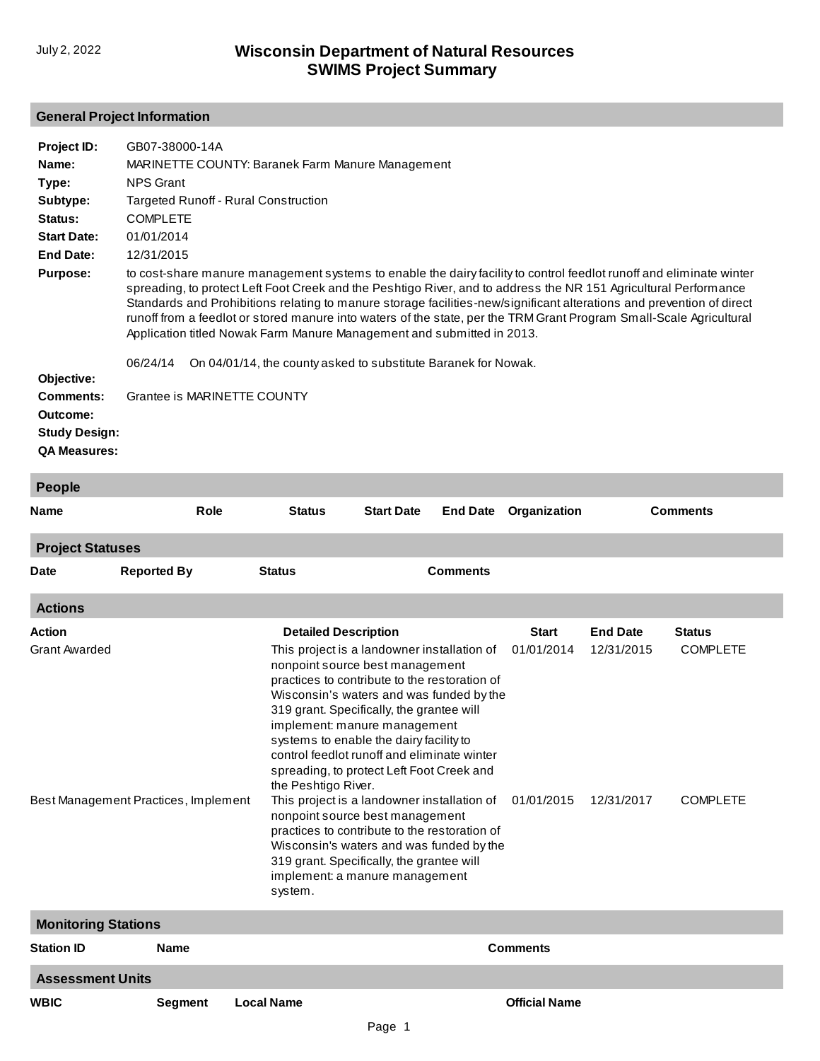# **General Project Information**

| Project ID:<br>Name:<br>Type:<br>Subtype:<br>Status:<br><b>Start Date:</b><br><b>End Date:</b><br><b>Purpose:</b> | GB07-38000-14A<br><b>NPS Grant</b><br><b>COMPLETE</b><br>01/01/2014<br>12/31/2015 | <b>MARINETTE COUNTY: Baranek Farm Manure Management</b><br><b>Targeted Runoff - Rural Construction</b><br>to cost-share manure management systems to enable the dairy facility to control feedlot runoff and eliminate winter<br>spreading, to protect Left Foot Creek and the Peshtigo River, and to address the NR 151 Agricultural Performance<br>Standards and Prohibitions relating to manure storage facilities-new/significant alterations and prevention of direct<br>runoff from a feedlot or stored manure into waters of the state, per the TRM Grant Program Small-Scale Agricultural |
|-------------------------------------------------------------------------------------------------------------------|-----------------------------------------------------------------------------------|---------------------------------------------------------------------------------------------------------------------------------------------------------------------------------------------------------------------------------------------------------------------------------------------------------------------------------------------------------------------------------------------------------------------------------------------------------------------------------------------------------------------------------------------------------------------------------------------------|
| Objective:<br><b>Comments:</b><br>Outcome:<br><b>Study Design:</b><br><b>QA Measures:</b>                         | 06/24/14                                                                          | Application titled Nowak Farm Manure Management and submitted in 2013.<br>On 04/01/14, the county asked to substitute Baranek for Nowak.<br>Grantee is MARINETTE COUNTY                                                                                                                                                                                                                                                                                                                                                                                                                           |
| <b>People</b>                                                                                                     |                                                                                   |                                                                                                                                                                                                                                                                                                                                                                                                                                                                                                                                                                                                   |

| <b>Name</b>                | Role                                 | <b>Status</b>                  | <b>Start Date</b>                                                                                                                                                                                                                                                                                                                                                                                                                                                                                                                                                                                                                                             |                 | <b>End Date Organization</b> |                          | <b>Comments</b>                    |  |
|----------------------------|--------------------------------------|--------------------------------|---------------------------------------------------------------------------------------------------------------------------------------------------------------------------------------------------------------------------------------------------------------------------------------------------------------------------------------------------------------------------------------------------------------------------------------------------------------------------------------------------------------------------------------------------------------------------------------------------------------------------------------------------------------|-----------------|------------------------------|--------------------------|------------------------------------|--|
| <b>Project Statuses</b>    |                                      |                                |                                                                                                                                                                                                                                                                                                                                                                                                                                                                                                                                                                                                                                                               |                 |                              |                          |                                    |  |
| <b>Date</b>                | <b>Reported By</b>                   | <b>Status</b>                  |                                                                                                                                                                                                                                                                                                                                                                                                                                                                                                                                                                                                                                                               | <b>Comments</b> |                              |                          |                                    |  |
| <b>Actions</b>             |                                      |                                |                                                                                                                                                                                                                                                                                                                                                                                                                                                                                                                                                                                                                                                               |                 |                              |                          |                                    |  |
| <b>Action</b>              |                                      | <b>Detailed Description</b>    |                                                                                                                                                                                                                                                                                                                                                                                                                                                                                                                                                                                                                                                               |                 | <b>Start</b>                 | <b>End Date</b>          | <b>Status</b>                      |  |
| <b>Grant Awarded</b>       | Best Management Practices, Implement | the Peshtigo River.<br>system. | This project is a landowner installation of<br>nonpoint source best management<br>practices to contribute to the restoration of<br>Wisconsin's waters and was funded by the<br>319 grant. Specifically, the grantee will<br>implement: manure management<br>systems to enable the dairy facility to<br>control feedlot runoff and eliminate winter<br>spreading, to protect Left Foot Creek and<br>This project is a landowner installation of<br>nonpoint source best management<br>practices to contribute to the restoration of<br>Wisconsin's waters and was funded by the<br>319 grant. Specifically, the grantee will<br>implement: a manure management |                 | 01/01/2014<br>01/01/2015     | 12/31/2015<br>12/31/2017 | <b>COMPLETE</b><br><b>COMPLETE</b> |  |
| <b>Monitoring Stations</b> |                                      |                                |                                                                                                                                                                                                                                                                                                                                                                                                                                                                                                                                                                                                                                                               |                 |                              |                          |                                    |  |
| <b>Station ID</b>          | <b>Name</b>                          |                                |                                                                                                                                                                                                                                                                                                                                                                                                                                                                                                                                                                                                                                                               |                 | <b>Comments</b>              |                          |                                    |  |
| <b>Assessment Units</b>    |                                      |                                |                                                                                                                                                                                                                                                                                                                                                                                                                                                                                                                                                                                                                                                               |                 |                              |                          |                                    |  |
| <b>WBIC</b>                | <b>Segment</b>                       | <b>Local Name</b>              |                                                                                                                                                                                                                                                                                                                                                                                                                                                                                                                                                                                                                                                               |                 | <b>Official Name</b>         |                          |                                    |  |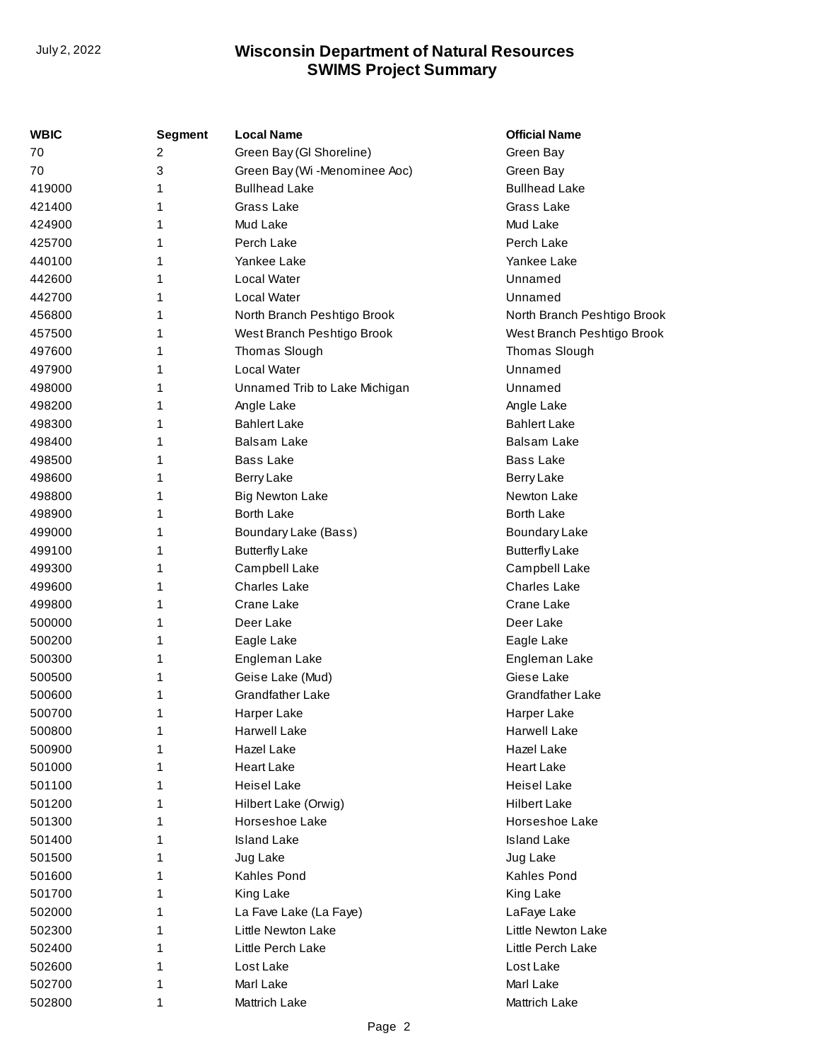| WBIC   | <b>Segment</b> | <b>Local Name</b>             | <b>Official Name</b>        |
|--------|----------------|-------------------------------|-----------------------------|
| 70     | 2              | Green Bay (GI Shoreline)      | Green Bay                   |
| 70     | 3              | Green Bay (Wi -Menominee Aoc) | Green Bay                   |
| 419000 | 1              | <b>Bullhead Lake</b>          | <b>Bullhead Lake</b>        |
| 421400 |                | Grass Lake                    | Grass Lake                  |
| 424900 | 1              | Mud Lake                      | Mud Lake                    |
| 425700 | 1              | Perch Lake                    | Perch Lake                  |
| 440100 |                | Yankee Lake                   | Yankee Lake                 |
| 442600 |                | Local Water                   | Unnamed                     |
| 442700 | 1              | Local Water                   | Unnamed                     |
| 456800 | 1              | North Branch Peshtigo Brook   | North Branch Peshtigo Brook |
| 457500 | 1              | West Branch Peshtigo Brook    | West Branch Peshtigo Brook  |
| 497600 | 1              | Thomas Slough                 | Thomas Slough               |
| 497900 | 1              | Local Water                   | Unnamed                     |
| 498000 | 1              | Unnamed Trib to Lake Michigan | Unnamed                     |
| 498200 |                | Angle Lake                    | Angle Lake                  |
| 498300 |                | <b>Bahlert Lake</b>           | <b>Bahlert Lake</b>         |
| 498400 | 1              | Balsam Lake                   | Balsam Lake                 |
| 498500 | 1              | <b>Bass Lake</b>              | <b>Bass Lake</b>            |
| 498600 | 1              | Berry Lake                    | Berry Lake                  |
| 498800 |                | <b>Big Newton Lake</b>        | Newton Lake                 |
| 498900 | 1              | <b>Borth Lake</b>             | <b>Borth Lake</b>           |
| 499000 | 1              | Boundary Lake (Bass)          | <b>Boundary Lake</b>        |
| 499100 | 1              | <b>Butterfly Lake</b>         | <b>Butterfly Lake</b>       |
| 499300 |                | Campbell Lake                 | Campbell Lake               |
| 499600 | 1              | <b>Charles Lake</b>           | <b>Charles Lake</b>         |
| 499800 | 1              | Crane Lake                    | Crane Lake                  |
| 500000 | 1              | Deer Lake                     | Deer Lake                   |
| 500200 | 1              | Eagle Lake                    | Eagle Lake                  |
| 500300 | 1              | Engleman Lake                 | Engleman Lake               |
| 500500 | 1              | Geise Lake (Mud)              | Giese Lake                  |
| 500600 |                | Grandfather Lake              | Grandfather Lake            |
| 500700 | 1              | Harper Lake                   | Harper Lake                 |
| 500800 | 1              | <b>Harwell Lake</b>           | <b>Harwell Lake</b>         |
| 500900 | 1              | Hazel Lake                    | Hazel Lake                  |
| 501000 |                | <b>Heart Lake</b>             | <b>Heart Lake</b>           |
| 501100 |                | <b>Heisel Lake</b>            | <b>Heisel Lake</b>          |
| 501200 |                | Hilbert Lake (Orwig)          | <b>Hilbert Lake</b>         |
| 501300 | 1              | Horseshoe Lake                | Horseshoe Lake              |
| 501400 |                | <b>Island Lake</b>            | <b>Island Lake</b>          |
| 501500 |                | Jug Lake                      | Jug Lake                    |
| 501600 | 1              | <b>Kahles Pond</b>            | <b>Kahles Pond</b>          |
| 501700 | 1              | King Lake                     | King Lake                   |
| 502000 |                | La Fave Lake (La Faye)        | LaFaye Lake                 |
| 502300 |                | Little Newton Lake            | Little Newton Lake          |
| 502400 |                | Little Perch Lake             | Little Perch Lake           |
| 502600 | 1              | Lost Lake                     | Lost Lake                   |
| 502700 | 1              | Marl Lake                     | Marl Lake                   |
| 502800 | 1              | <b>Mattrich Lake</b>          | Mattrich Lake               |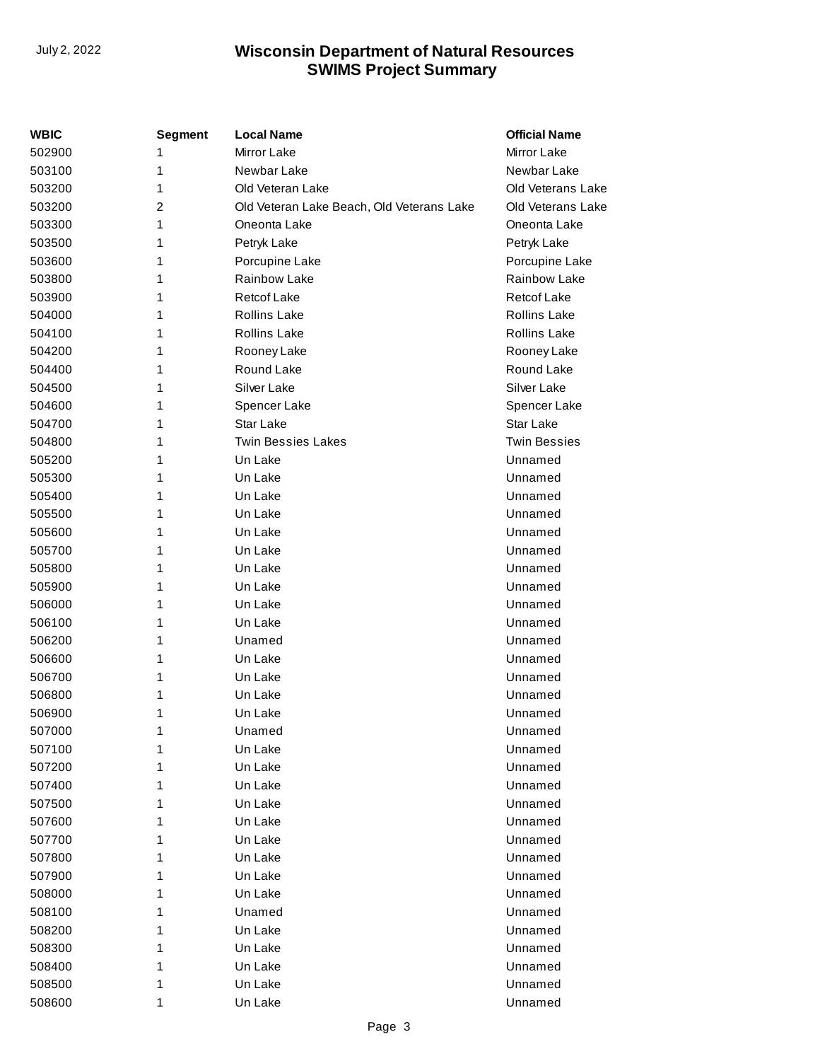| WBIC   | Segment | <b>Local Name</b>                         | <b>Official Name</b> |
|--------|---------|-------------------------------------------|----------------------|
| 502900 | 1       | Mirror Lake                               | <b>Mirror Lake</b>   |
| 503100 | 1       | Newbar Lake                               | Newbar Lake          |
| 503200 | 1       | Old Veteran Lake                          | Old Veterans Lake    |
| 503200 | 2       | Old Veteran Lake Beach, Old Veterans Lake | Old Veterans Lake    |
| 503300 | 1       | Oneonta Lake                              | Oneonta Lake         |
| 503500 | 1       | Petryk Lake                               | Petryk Lake          |
| 503600 | 1       | Porcupine Lake                            | Porcupine Lake       |
| 503800 | 1       | Rainbow Lake                              | Rainbow Lake         |
| 503900 | 1       | <b>Retcof Lake</b>                        | <b>Retcof Lake</b>   |
| 504000 | 1       | <b>Rollins Lake</b>                       | <b>Rollins Lake</b>  |
| 504100 | 1       | <b>Rollins Lake</b>                       | <b>Rollins Lake</b>  |
| 504200 | 1       | Rooney Lake                               | Rooney Lake          |
| 504400 | 1       | Round Lake                                | Round Lake           |
| 504500 | 1       | Silver Lake                               | Silver Lake          |
| 504600 | 1       | Spencer Lake                              | Spencer Lake         |
| 504700 | 1       | Star Lake                                 | Star Lake            |
| 504800 | 1       | <b>Twin Bessies Lakes</b>                 | <b>Twin Bessies</b>  |
| 505200 | 1       | Un Lake                                   | Unnamed              |
| 505300 | 1       | Un Lake                                   | Unnamed              |
| 505400 | 1       | Un Lake                                   | Unnamed              |
| 505500 | 1       | Un Lake                                   | Unnamed              |
| 505600 | 1       | Un Lake                                   | Unnamed              |
| 505700 | 1       | Un Lake                                   | Unnamed              |
| 505800 | 1       | Un Lake                                   | Unnamed              |
| 505900 | 1       | Un Lake                                   | Unnamed              |
| 506000 | 1       | Un Lake                                   | Unnamed              |
| 506100 | 1       | Un Lake                                   | Unnamed              |
| 506200 | 1       | Unamed                                    | Unnamed              |
| 506600 | 1       | Un Lake                                   | Unnamed              |
| 506700 | 1       | Un Lake                                   | Unnamed              |
| 506800 | 1       | Un Lake                                   | Unnamed              |
| 506900 | 1       | Un Lake                                   | Unnamed              |
| 507000 | 1       | Unamed                                    | Unnamed              |
| 507100 | 1       | Un Lake                                   | Unnamed              |
| 507200 | 1       | Un Lake                                   | Unnamed              |
| 507400 | 1       | Un Lake                                   | Unnamed              |
| 507500 | 1       | Un Lake                                   | Unnamed              |
| 507600 | 1       | Un Lake                                   | Unnamed              |
| 507700 | 1       | Un Lake                                   | Unnamed              |
| 507800 | 1       | Un Lake                                   | Unnamed              |
| 507900 | 1       | Un Lake                                   | Unnamed              |
| 508000 | 1       | Un Lake                                   | Unnamed              |
| 508100 | 1       | Unamed                                    | Unnamed              |
| 508200 | 1       | Un Lake                                   | Unnamed              |
| 508300 | 1       | Un Lake                                   | Unnamed              |
| 508400 | 1       | Un Lake                                   | Unnamed              |
| 508500 | 1       | Un Lake                                   | Unnamed              |
| 508600 | 1       | Un Lake                                   | Unnamed              |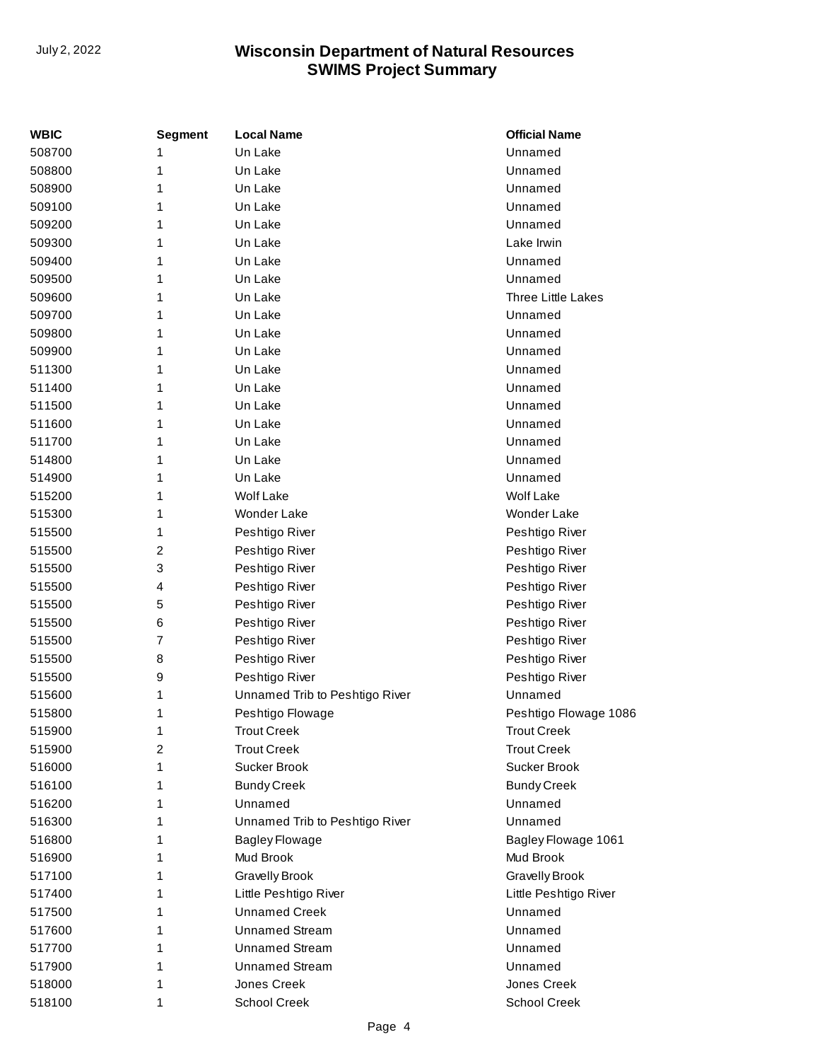| WBIC   | Segment        | <b>Local Name</b>              | <b>Official Name</b>      |
|--------|----------------|--------------------------------|---------------------------|
| 508700 | 1              | Un Lake                        | Unnamed                   |
| 508800 | 1              | Un Lake                        | Unnamed                   |
| 508900 | 1              | Un Lake                        | Unnamed                   |
| 509100 | 1              | Un Lake                        | Unnamed                   |
| 509200 | 1              | Un Lake                        | Unnamed                   |
| 509300 | 1              | Un Lake                        | Lake Irwin                |
| 509400 | 1              | Un Lake                        | Unnamed                   |
| 509500 | 1              | Un Lake                        | Unnamed                   |
| 509600 | 1              | Un Lake                        | <b>Three Little Lakes</b> |
| 509700 | 1              | Un Lake                        | Unnamed                   |
| 509800 | 1              | Un Lake                        | Unnamed                   |
| 509900 | 1              | Un Lake                        | Unnamed                   |
| 511300 | 1              | Un Lake                        | Unnamed                   |
| 511400 | 1              | Un Lake                        | Unnamed                   |
| 511500 | 1              | Un Lake                        | Unnamed                   |
| 511600 | 1              | Un Lake                        | Unnamed                   |
| 511700 | 1              | Un Lake                        | Unnamed                   |
| 514800 | 1              | Un Lake                        | Unnamed                   |
| 514900 | 1              | Un Lake                        | Unnamed                   |
| 515200 | 1              | <b>Wolf Lake</b>               | <b>Wolf Lake</b>          |
| 515300 | 1              | Wonder Lake                    | <b>Wonder Lake</b>        |
| 515500 | 1              | Peshtigo River                 | Peshtigo River            |
| 515500 | $\overline{c}$ | Peshtigo River                 | Peshtigo River            |
| 515500 | 3              | Peshtigo River                 | Peshtigo River            |
| 515500 | 4              | Peshtigo River                 | Peshtigo River            |
| 515500 | 5              | Peshtigo River                 | Peshtigo River            |
| 515500 | 6              | Peshtigo River                 | Peshtigo River            |
| 515500 | 7              | Peshtigo River                 | Peshtigo River            |
| 515500 | 8              | Peshtigo River                 | Peshtigo River            |
| 515500 | 9              | Peshtigo River                 | Peshtigo River            |
| 515600 | 1              | Unnamed Trib to Peshtigo River | Unnamed                   |
| 515800 | 1              | Peshtigo Flowage               | Peshtigo Flowage 1086     |
| 515900 | 1              | <b>Trout Creek</b>             | <b>Trout Creek</b>        |
| 515900 | 2              | <b>Trout Creek</b>             | <b>Trout Creek</b>        |
| 516000 | 1              | Sucker Brook                   | Sucker Brook              |
| 516100 | 1              | <b>Bundy Creek</b>             | <b>Bundy Creek</b>        |
| 516200 | 1              | Unnamed                        | Unnamed                   |
| 516300 | 1              | Unnamed Trib to Peshtigo River | Unnamed                   |
| 516800 | 1              | <b>Bagley Flowage</b>          | Bagley Flowage 1061       |
| 516900 | 1              | Mud Brook                      | Mud Brook                 |
| 517100 | 1              | <b>Gravelly Brook</b>          | <b>Gravelly Brook</b>     |
| 517400 | 1              | Little Peshtigo River          | Little Peshtigo River     |
| 517500 | 1              | <b>Unnamed Creek</b>           | Unnamed                   |
| 517600 | 1              | <b>Unnamed Stream</b>          | Unnamed                   |
| 517700 | 1              | <b>Unnamed Stream</b>          | Unnamed                   |
| 517900 | 1              | <b>Unnamed Stream</b>          | Unnamed                   |
| 518000 | 1              | Jones Creek                    | Jones Creek               |
| 518100 | 1              | <b>School Creek</b>            | <b>School Creek</b>       |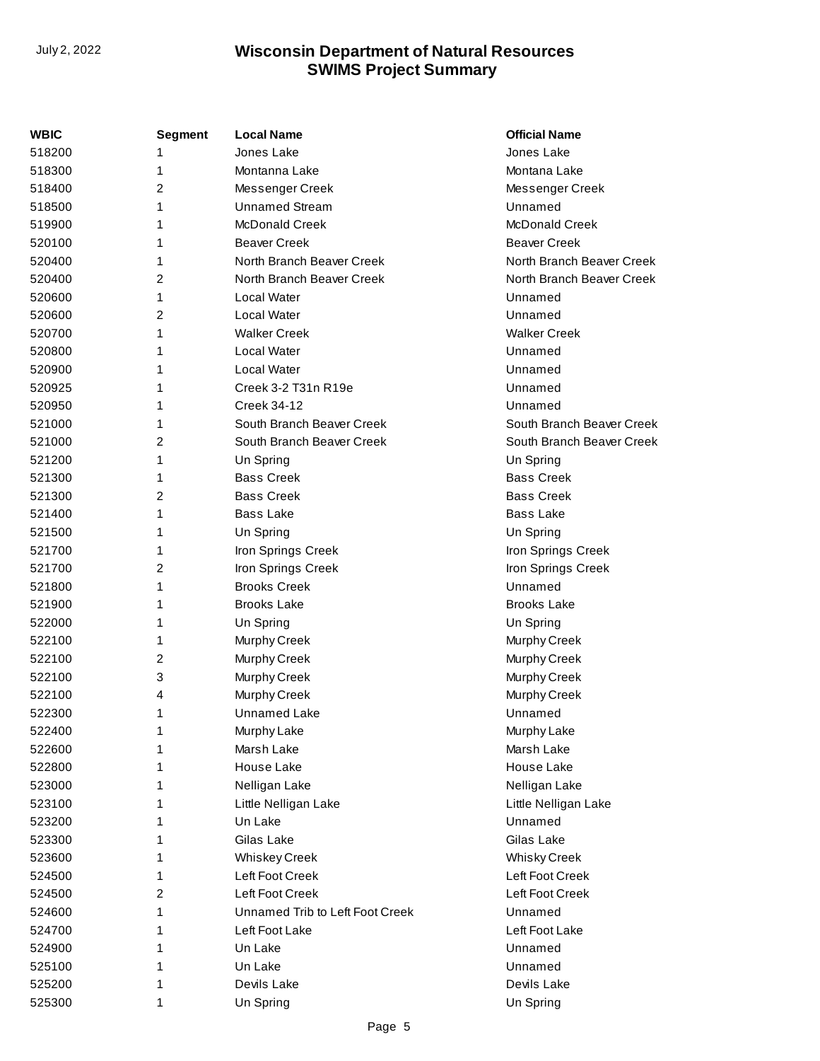| <b>WBIC</b> | <b>Segment</b> | <b>Local Name</b>               | <b>Official Name</b>      |
|-------------|----------------|---------------------------------|---------------------------|
| 518200      | 1              | Jones Lake                      | Jones Lake                |
| 518300      | 1              | Montanna Lake                   | Montana Lake              |
| 518400      | 2              | Messenger Creek                 | Messenger Creek           |
| 518500      | 1              | <b>Unnamed Stream</b>           | Unnamed                   |
| 519900      | 1              | <b>McDonald Creek</b>           | <b>McDonald Creek</b>     |
| 520100      | 1              | <b>Beaver Creek</b>             | <b>Beaver Creek</b>       |
| 520400      | 1              | North Branch Beaver Creek       | North Branch Beaver Creek |
| 520400      | 2              | North Branch Beaver Creek       | North Branch Beaver Creek |
| 520600      | 1              | Local Water                     | Unnamed                   |
| 520600      | 2              | Local Water                     | Unnamed                   |
| 520700      | 1              | <b>Walker Creek</b>             | <b>Walker Creek</b>       |
| 520800      | 1              | Local Water                     | Unnamed                   |
| 520900      | 1              | <b>Local Water</b>              | Unnamed                   |
| 520925      | 1              | Creek 3-2 T31n R19e             | Unnamed                   |
| 520950      | 1              | <b>Creek 34-12</b>              | Unnamed                   |
| 521000      | 1              | South Branch Beaver Creek       | South Branch Beaver Creek |
| 521000      | 2              | South Branch Beaver Creek       | South Branch Beaver Creek |
| 521200      | 1              | Un Spring                       | Un Spring                 |
| 521300      | 1              | <b>Bass Creek</b>               | <b>Bass Creek</b>         |
| 521300      | 2              | <b>Bass Creek</b>               | <b>Bass Creek</b>         |
| 521400      | 1              | <b>Bass Lake</b>                | <b>Bass Lake</b>          |
| 521500      | 1              | Un Spring                       | Un Spring                 |
| 521700      | 1              | Iron Springs Creek              | Iron Springs Creek        |
| 521700      | 2              | Iron Springs Creek              | Iron Springs Creek        |
| 521800      | 1              | <b>Brooks Creek</b>             | Unnamed                   |
| 521900      | 1              | <b>Brooks Lake</b>              | <b>Brooks Lake</b>        |
| 522000      | 1              | Un Spring                       | Un Spring                 |
| 522100      | 1              | Murphy Creek                    | Murphy Creek              |
| 522100      | 2              | Murphy Creek                    | Murphy Creek              |
| 522100      | 3              | Murphy Creek                    | Murphy Creek              |
| 522100      | 4              | Murphy Creek                    | Murphy Creek              |
| 522300      | 1              | Unnamed Lake                    | Unnamed                   |
| 522400      | 1              | Murphy Lake                     | Murphy Lake               |
| 522600      | 1              | Marsh Lake                      | Marsh Lake                |
| 522800      | 1              | House Lake                      | House Lake                |
| 523000      | 1              | Nelligan Lake                   | Nelligan Lake             |
| 523100      | 1              | Little Nelligan Lake            | Little Nelligan Lake      |
| 523200      | 1              | Un Lake                         | Unnamed                   |
| 523300      | 1              | Gilas Lake                      | Gilas Lake                |
| 523600      | 1              | <b>Whiskey Creek</b>            | <b>Whisky Creek</b>       |
| 524500      | 1              | Left Foot Creek                 | Left Foot Creek           |
| 524500      | 2              | Left Foot Creek                 | Left Foot Creek           |
| 524600      | 1              | Unnamed Trib to Left Foot Creek | Unnamed                   |
| 524700      | 1              | Left Foot Lake                  | Left Foot Lake            |
| 524900      | 1              | Un Lake                         | Unnamed                   |
| 525100      | 1              | Un Lake                         | Unnamed                   |
| 525200      | 1              | Devils Lake                     | Devils Lake               |
| 525300      | 1              | Un Spring                       | Un Spring                 |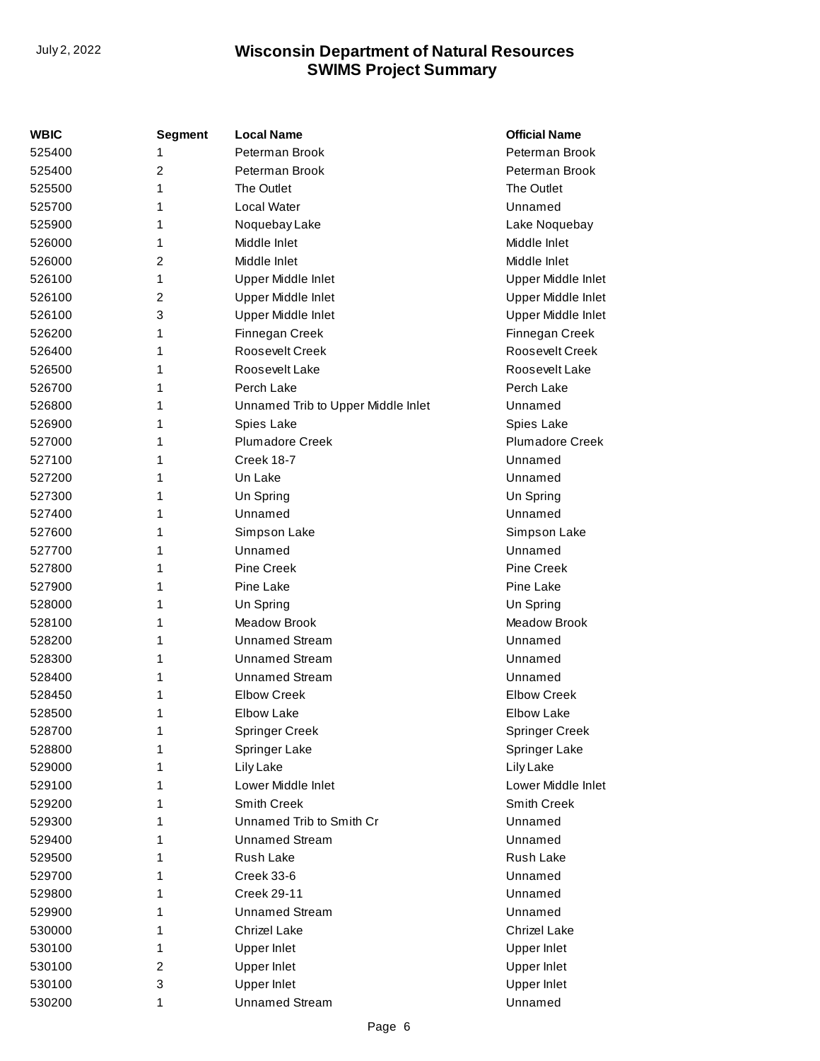| <b>WBIC</b> | <b>Segment</b> | <b>Local Name</b>                  | <b>Official Name</b>   |
|-------------|----------------|------------------------------------|------------------------|
| 525400      | 1              | Peterman Brook                     | Peterman Brook         |
| 525400      | $\overline{2}$ | Peterman Brook                     | Peterman Brook         |
| 525500      | 1              | The Outlet                         | The Outlet             |
| 525700      | 1              | Local Water                        | Unnamed                |
| 525900      | 1              | Noquebay Lake                      | Lake Noquebay          |
| 526000      | 1              | Middle Inlet                       | Middle Inlet           |
| 526000      | $\overline{2}$ | Middle Inlet                       | Middle Inlet           |
| 526100      | 1              | Upper Middle Inlet                 | Upper Middle Inlet     |
| 526100      | 2              | Upper Middle Inlet                 | Upper Middle Inlet     |
| 526100      | 3              | Upper Middle Inlet                 | Upper Middle Inlet     |
| 526200      | 1              | Finnegan Creek                     | Finnegan Creek         |
| 526400      | 1              | Roosevelt Creek                    | Roosevelt Creek        |
| 526500      | 1              | Roosevelt Lake                     | Roosevelt Lake         |
| 526700      | 1              | Perch Lake                         | Perch Lake             |
| 526800      | 1              | Unnamed Trib to Upper Middle Inlet | Unnamed                |
| 526900      | 1              | Spies Lake                         | Spies Lake             |
| 527000      | 1              | <b>Plumadore Creek</b>             | <b>Plumadore Creek</b> |
| 527100      | 1              | Creek 18-7                         | Unnamed                |
| 527200      | 1              | Un Lake                            | Unnamed                |
| 527300      | 1              | Un Spring                          | Un Spring              |
| 527400      | 1              | Unnamed                            | Unnamed                |
| 527600      | 1              | Simpson Lake                       | Simpson Lake           |
| 527700      | 1              | Unnamed                            | Unnamed                |
| 527800      | 1              | <b>Pine Creek</b>                  | Pine Creek             |
| 527900      | 1              | Pine Lake                          | Pine Lake              |
| 528000      | 1              | Un Spring                          | Un Spring              |
| 528100      | 1              | Meadow Brook                       | Meadow Brook           |
| 528200      | 1              | <b>Unnamed Stream</b>              | Unnamed                |
| 528300      | 1              | <b>Unnamed Stream</b>              | Unnamed                |
| 528400      | 1              | <b>Unnamed Stream</b>              | Unnamed                |
| 528450      | 1              | <b>Elbow Creek</b>                 | <b>Elbow Creek</b>     |
| 528500      | 1              | <b>Elbow Lake</b>                  | Elbow Lake             |
| 528700      | 1              | <b>Springer Creek</b>              | Springer Creek         |
| 528800      | 1              | Springer Lake                      | Springer Lake          |
| 529000      | 1              | Lily Lake                          | Lily Lake              |
| 529100      | 1              | Lower Middle Inlet                 | Lower Middle Inlet     |
| 529200      | 1              | <b>Smith Creek</b>                 | <b>Smith Creek</b>     |
| 529300      | 1              | Unnamed Trib to Smith Cr           | Unnamed                |
| 529400      | 1              | <b>Unnamed Stream</b>              | Unnamed                |
| 529500      | 1              | Rush Lake                          | Rush Lake              |
| 529700      | 1              | Creek 33-6                         | Unnamed                |
| 529800      | 1              | <b>Creek 29-11</b>                 | Unnamed                |
| 529900      | 1              | <b>Unnamed Stream</b>              | Unnamed                |
| 530000      | 1              | <b>Chrizel Lake</b>                | <b>Chrizel Lake</b>    |
| 530100      | 1              | <b>Upper Inlet</b>                 | Upper Inlet            |
| 530100      | $\overline{2}$ | Upper Inlet                        | <b>Upper Inlet</b>     |
| 530100      | 3              | <b>Upper Inlet</b>                 | <b>Upper Inlet</b>     |
| 530200      | 1              | <b>Unnamed Stream</b>              | Unnamed                |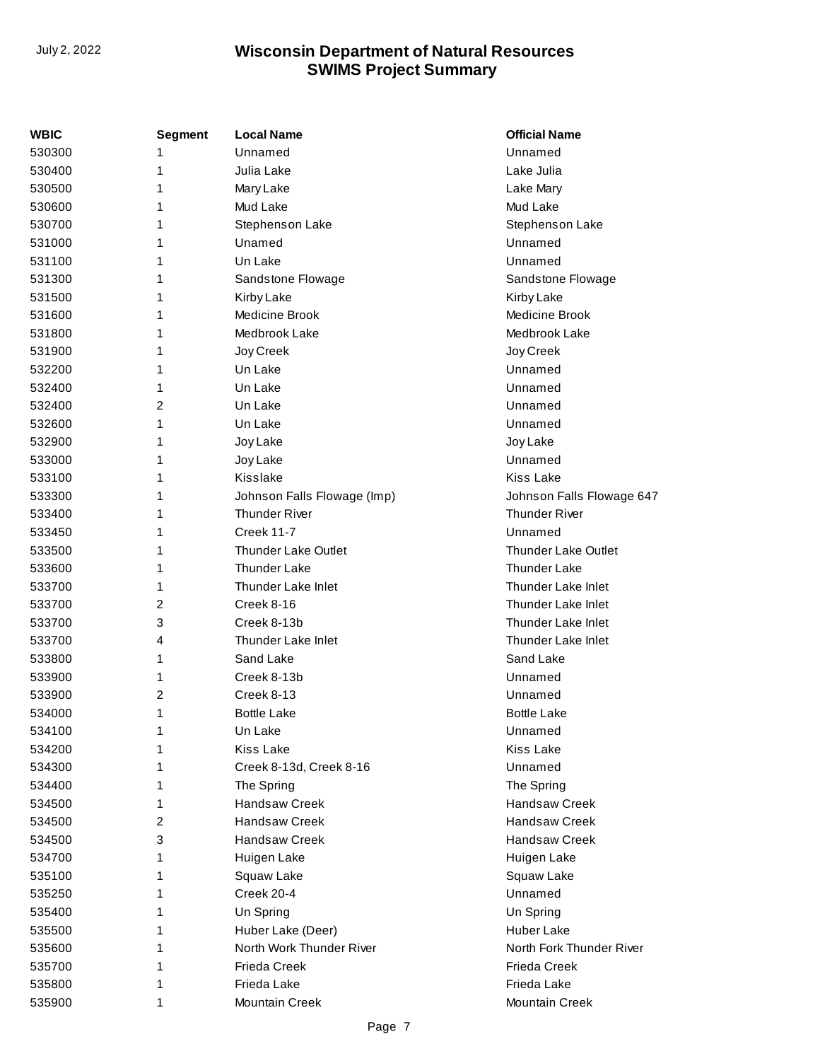| WBIC   | <b>Segment</b> | <b>Local Name</b>           | <b>Official Name</b>       |
|--------|----------------|-----------------------------|----------------------------|
| 530300 | 1              | Unnamed                     | Unnamed                    |
| 530400 | 1              | Julia Lake                  | Lake Julia                 |
| 530500 | 1              | Mary Lake                   | Lake Mary                  |
| 530600 | 1              | Mud Lake                    | Mud Lake                   |
| 530700 | 1              | Stephenson Lake             | Stephenson Lake            |
| 531000 | 1              | Unamed                      | Unnamed                    |
| 531100 | 1              | Un Lake                     | Unnamed                    |
| 531300 | 1              | Sandstone Flowage           | Sandstone Flowage          |
| 531500 | 1              | Kirby Lake                  | Kirby Lake                 |
| 531600 | 1              | Medicine Brook              | Medicine Brook             |
| 531800 | 1              | Medbrook Lake               | Medbrook Lake              |
| 531900 | 1              | Joy Creek                   | Joy Creek                  |
| 532200 | 1              | Un Lake                     | Unnamed                    |
| 532400 | 1              | Un Lake                     | Unnamed                    |
| 532400 | 2              | Un Lake                     | Unnamed                    |
| 532600 | 1              | Un Lake                     | Unnamed                    |
| 532900 | 1              | Joy Lake                    | Joy Lake                   |
| 533000 | 1              | Joy Lake                    | Unnamed                    |
| 533100 | 1              | Kisslake                    | <b>Kiss Lake</b>           |
| 533300 | 1              | Johnson Falls Flowage (Imp) | Johnson Falls Flowage 647  |
| 533400 | 1              | <b>Thunder River</b>        | <b>Thunder River</b>       |
| 533450 | 1              | <b>Creek 11-7</b>           | Unnamed                    |
| 533500 | 1              | <b>Thunder Lake Outlet</b>  | <b>Thunder Lake Outlet</b> |
| 533600 | 1              | <b>Thunder Lake</b>         | <b>Thunder Lake</b>        |
| 533700 | 1              | Thunder Lake Inlet          | Thunder Lake Inlet         |
| 533700 | 2              | Creek 8-16                  | Thunder Lake Inlet         |
| 533700 | 3              | Creek 8-13b                 | Thunder Lake Inlet         |
| 533700 | 4              | Thunder Lake Inlet          | Thunder Lake Inlet         |
| 533800 | 1              | Sand Lake                   | Sand Lake                  |
| 533900 | 1              | Creek 8-13b                 | Unnamed                    |
| 533900 | 2              | Creek 8-13                  | Unnamed                    |
| 534000 | 1              | <b>Bottle Lake</b>          | <b>Bottle Lake</b>         |
| 534100 | 1              | Un Lake                     | Unnamed                    |
| 534200 | 1              | <b>Kiss Lake</b>            | <b>Kiss Lake</b>           |
| 534300 | 1              | Creek 8-13d, Creek 8-16     | Unnamed                    |
| 534400 | 1              | The Spring                  | The Spring                 |
| 534500 | 1              | Handsaw Creek               | <b>Handsaw Creek</b>       |
| 534500 | 2              | <b>Handsaw Creek</b>        | <b>Handsaw Creek</b>       |
| 534500 | 3              | Handsaw Creek               | <b>Handsaw Creek</b>       |
| 534700 | 1              | Huigen Lake                 | Huigen Lake                |
| 535100 | 1              | Squaw Lake                  | Squaw Lake                 |
| 535250 | 1              | Creek 20-4                  | Unnamed                    |
| 535400 | 1              | Un Spring                   | Un Spring                  |
| 535500 | 1              | Huber Lake (Deer)           | <b>Huber Lake</b>          |
| 535600 | 1              | North Work Thunder River    | North Fork Thunder River   |
| 535700 | 1              | Frieda Creek                | Frieda Creek               |
| 535800 | 1              | Frieda Lake                 | Frieda Lake                |
| 535900 | 1              | <b>Mountain Creek</b>       | Mountain Creek             |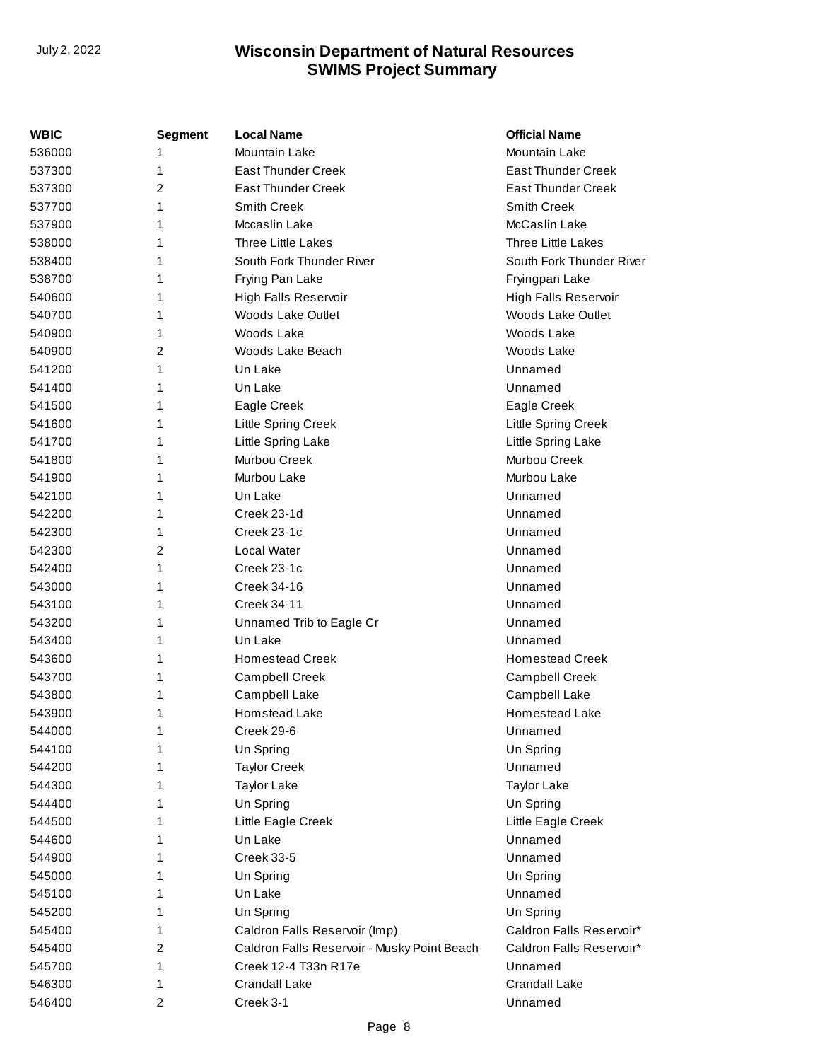| <b>WBIC</b> | Segment        | <b>Local Name</b>                           | <b>Official Name</b>      |
|-------------|----------------|---------------------------------------------|---------------------------|
| 536000      | 1              | Mountain Lake                               | Mountain Lake             |
| 537300      | 1              | <b>East Thunder Creek</b>                   | <b>East Thunder Creek</b> |
| 537300      | 2              | <b>East Thunder Creek</b>                   | <b>East Thunder Creek</b> |
| 537700      | 1              | Smith Creek                                 | Smith Creek               |
| 537900      | 1              | Mccaslin Lake                               | McCaslin Lake             |
| 538000      | 1              | <b>Three Little Lakes</b>                   | Three Little Lakes        |
| 538400      | 1              | South Fork Thunder River                    | South Fork Thunder River  |
| 538700      | 1              | Frying Pan Lake                             | Fryingpan Lake            |
| 540600      | 1              | High Falls Reservoir                        | High Falls Reservoir      |
| 540700      | 1              | <b>Woods Lake Outlet</b>                    | <b>Woods Lake Outlet</b>  |
| 540900      | 1              | Woods Lake                                  | Woods Lake                |
| 540900      | 2              | Woods Lake Beach                            | Woods Lake                |
| 541200      | 1              | Un Lake                                     | Unnamed                   |
| 541400      | 1              | Un Lake                                     | Unnamed                   |
| 541500      | 1              | Eagle Creek                                 | Eagle Creek               |
| 541600      | 1              | Little Spring Creek                         | Little Spring Creek       |
| 541700      | 1              | Little Spring Lake                          | Little Spring Lake        |
| 541800      | 1              | Murbou Creek                                | Murbou Creek              |
| 541900      | 1              | Murbou Lake                                 | Murbou Lake               |
| 542100      | 1              | Un Lake                                     | Unnamed                   |
| 542200      | 1              | Creek 23-1d                                 | Unnamed                   |
| 542300      | 1              | Creek 23-1c                                 | Unnamed                   |
| 542300      | $\overline{2}$ | Local Water                                 | Unnamed                   |
| 542400      | 1              | Creek 23-1c                                 | Unnamed                   |
| 543000      | 1              | Creek 34-16                                 | Unnamed                   |
| 543100      | 1              | <b>Creek 34-11</b>                          | Unnamed                   |
| 543200      | 1              | Unnamed Trib to Eagle Cr                    | Unnamed                   |
| 543400      | 1              | Un Lake                                     | Unnamed                   |
| 543600      | 1              | <b>Homestead Creek</b>                      | <b>Homestead Creek</b>    |
| 543700      | 1              | <b>Campbell Creek</b>                       | Campbell Creek            |
| 543800      | 1              | Campbell Lake                               | Campbell Lake             |
| 543900      | 1              | <b>Homstead Lake</b>                        | Homestead Lake            |
| 544000      | 1              | Creek 29-6                                  | Unnamed                   |
| 544100      | 1              | Un Spring                                   | Un Spring                 |
| 544200      | 1              | <b>Taylor Creek</b>                         | Unnamed                   |
| 544300      | 1              | <b>Taylor Lake</b>                          | <b>Taylor Lake</b>        |
| 544400      | 1              | Un Spring                                   | Un Spring                 |
| 544500      | 1              | Little Eagle Creek                          | Little Eagle Creek        |
| 544600      | 1              | Un Lake                                     | Unnamed                   |
| 544900      | 1              | <b>Creek 33-5</b>                           | Unnamed                   |
| 545000      | 1              | Un Spring                                   | Un Spring                 |
| 545100      | 1              | Un Lake                                     | Unnamed                   |
| 545200      | 1              | Un Spring                                   | Un Spring                 |
| 545400      | 1              | Caldron Falls Reservoir (Imp)               | Caldron Falls Reservoir*  |
| 545400      | 2              | Caldron Falls Reservoir - Musky Point Beach | Caldron Falls Reservoir*  |
| 545700      | 1              | Creek 12-4 T33n R17e                        | Unnamed                   |
| 546300      | 1              | <b>Crandall Lake</b>                        | Crandall Lake             |
| 546400      | 2              | Creek 3-1                                   | Unnamed                   |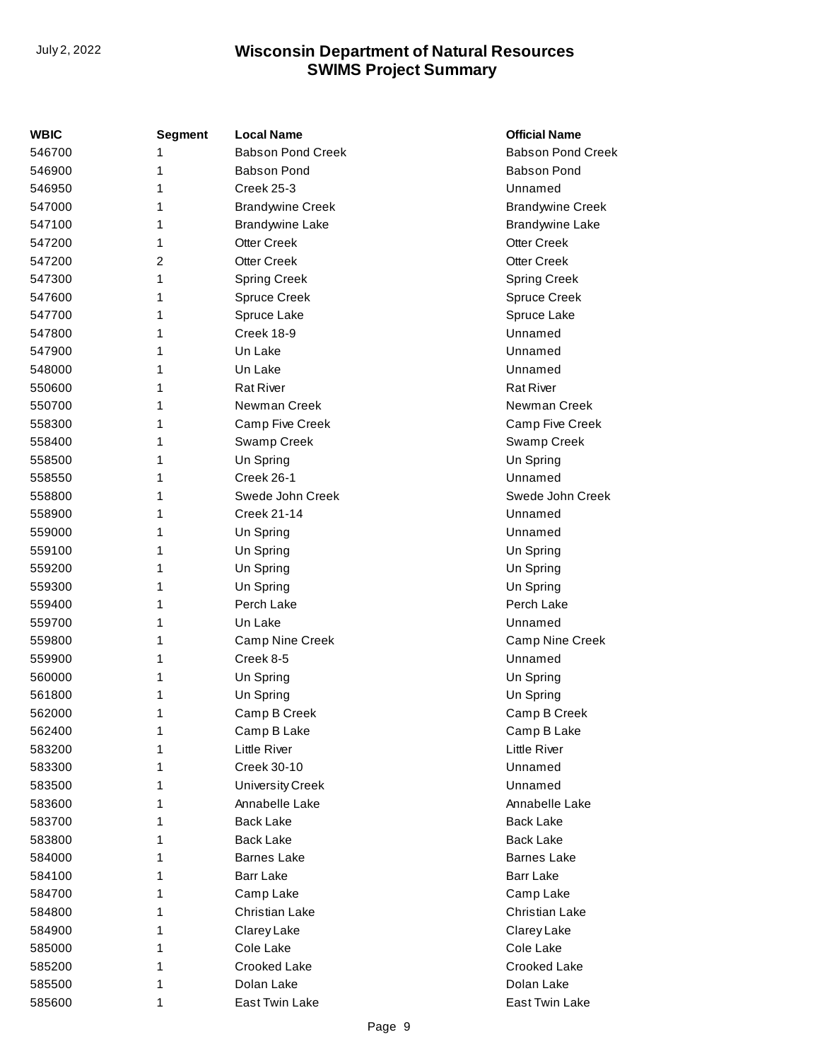| WBIC   | Segment        | <b>Local Name</b>        | <b>Official Name</b>     |
|--------|----------------|--------------------------|--------------------------|
| 546700 | 1              | <b>Babson Pond Creek</b> | <b>Babson Pond Creek</b> |
| 546900 | 1              | <b>Babson Pond</b>       | <b>Babson Pond</b>       |
| 546950 | 1              | <b>Creek 25-3</b>        | Unnamed                  |
| 547000 | 1              | <b>Brandywine Creek</b>  | <b>Brandywine Creek</b>  |
| 547100 | 1              | <b>Brandywine Lake</b>   | <b>Brandywine Lake</b>   |
| 547200 | 1              | <b>Otter Creek</b>       | <b>Otter Creek</b>       |
| 547200 | $\overline{c}$ | <b>Otter Creek</b>       | <b>Otter Creek</b>       |
| 547300 | 1              | Spring Creek             | Spring Creek             |
| 547600 | 1              | <b>Spruce Creek</b>      | <b>Spruce Creek</b>      |
| 547700 | 1              | Spruce Lake              | Spruce Lake              |
| 547800 | 1              | Creek 18-9               | Unnamed                  |
| 547900 | 1              | Un Lake                  | Unnamed                  |
| 548000 | 1              | Un Lake                  | Unnamed                  |
| 550600 | 1              | <b>Rat River</b>         | <b>Rat River</b>         |
| 550700 | 1              | Newman Creek             | Newman Creek             |
| 558300 | 1              | Camp Five Creek          | Camp Five Creek          |
| 558400 | 1              | Swamp Creek              | Swamp Creek              |
| 558500 | 1              | Un Spring                | Un Spring                |
| 558550 | 1              | Creek 26-1               | Unnamed                  |
| 558800 | 1              | Swede John Creek         | Swede John Creek         |
| 558900 | 1              | <b>Creek 21-14</b>       | Unnamed                  |
| 559000 | 1              | Un Spring                | Unnamed                  |
| 559100 | 1              | Un Spring                | Un Spring                |
| 559200 | 1              | Un Spring                | Un Spring                |
| 559300 | 1              | Un Spring                | Un Spring                |
| 559400 | 1              | Perch Lake               | Perch Lake               |
| 559700 | 1              | Un Lake                  | Unnamed                  |
| 559800 | 1              | Camp Nine Creek          | Camp Nine Creek          |
| 559900 | 1              | Creek 8-5                | Unnamed                  |
| 560000 | 1              | Un Spring                | Un Spring                |
| 561800 | 1              | Un Spring                | Un Spring                |
| 562000 | 1              | Camp B Creek             | Camp B Creek             |
| 562400 | 1              | Camp B Lake              | Camp B Lake              |
| 583200 | 1              | <b>Little River</b>      | <b>Little River</b>      |
| 583300 | 1              | Creek 30-10              | Unnamed                  |
| 583500 | 1              | <b>University Creek</b>  | Unnamed                  |
| 583600 | 1              | Annabelle Lake           | Annabelle Lake           |
| 583700 | 1              | <b>Back Lake</b>         | <b>Back Lake</b>         |
| 583800 | 1              | <b>Back Lake</b>         | <b>Back Lake</b>         |
| 584000 | 1              | <b>Barnes Lake</b>       | <b>Barnes Lake</b>       |
| 584100 | 1              | <b>Barr Lake</b>         | Barr Lake                |
| 584700 | 1              | Camp Lake                | Camp Lake                |
| 584800 | 1              | Christian Lake           | <b>Christian Lake</b>    |
| 584900 | 1              | Clarey Lake              | Clarey Lake              |
| 585000 | 1              | Cole Lake                | Cole Lake                |
| 585200 | 1              | Crooked Lake             | Crooked Lake             |
| 585500 | 1              | Dolan Lake               | Dolan Lake               |
| 585600 | 1              | East Twin Lake           | East Twin Lake           |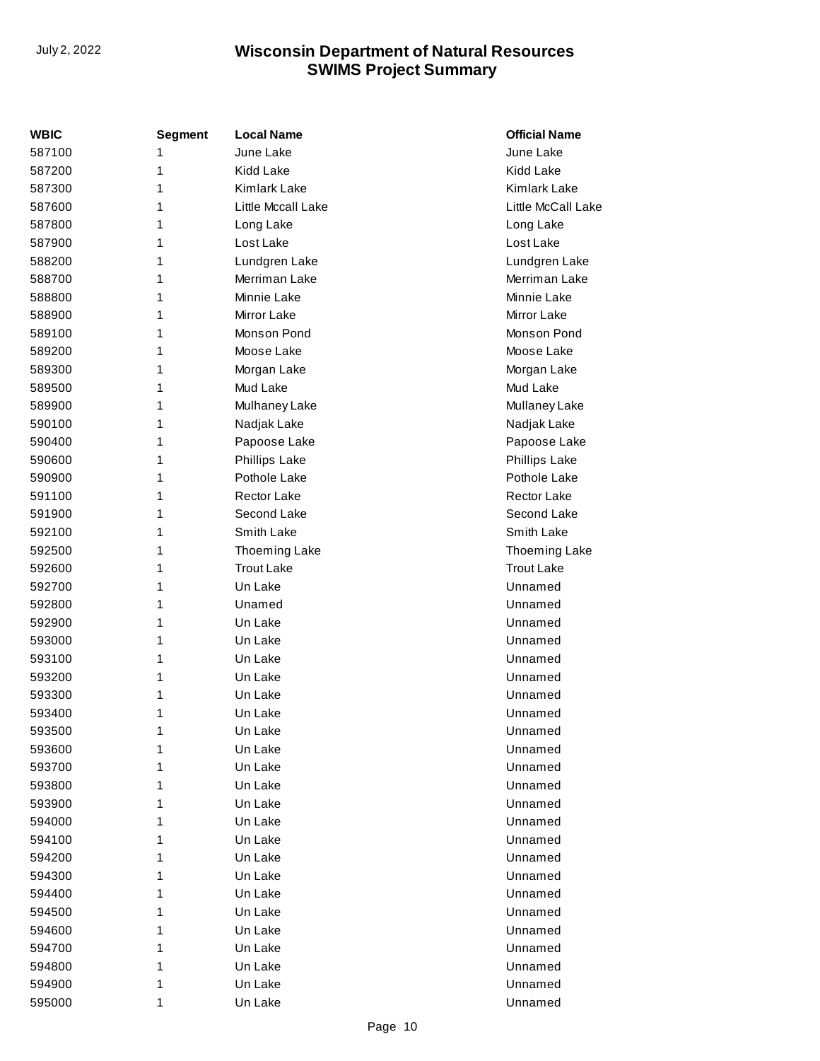| <b>WBIC</b> | <b>Segment</b> | <b>Local Name</b>    | <b>Official Name</b> |
|-------------|----------------|----------------------|----------------------|
| 587100      | 1              | June Lake            | June Lake            |
| 587200      | 1              | <b>Kidd Lake</b>     | Kidd Lake            |
| 587300      | 1              | Kimlark Lake         | Kimlark Lake         |
| 587600      | 1              | Little Mccall Lake   | Little McCall Lake   |
| 587800      | 1              | Long Lake            | Long Lake            |
| 587900      | 1              | Lost Lake            | Lost Lake            |
| 588200      | 1              | Lundgren Lake        | Lundgren Lake        |
| 588700      | 1              | Merriman Lake        | Merriman Lake        |
| 588800      | 1              | Minnie Lake          | Minnie Lake          |
| 588900      | 1              | Mirror Lake          | Mirror Lake          |
| 589100      | 1              | Monson Pond          | Monson Pond          |
| 589200      | 1              | Moose Lake           | Moose Lake           |
| 589300      | 1              | Morgan Lake          | Morgan Lake          |
| 589500      | 1              | Mud Lake             | Mud Lake             |
| 589900      | 1              | Mulhaney Lake        | Mullaney Lake        |
| 590100      | 1              | Nadjak Lake          | Nadjak Lake          |
| 590400      | 1              | Papoose Lake         | Papoose Lake         |
| 590600      | 1              | <b>Phillips Lake</b> | Phillips Lake        |
| 590900      | 1              | Pothole Lake         | Pothole Lake         |
| 591100      | 1              | Rector Lake          | Rector Lake          |
| 591900      | 1              | Second Lake          | Second Lake          |
| 592100      | 1              | Smith Lake           | Smith Lake           |
| 592500      | 1              | Thoeming Lake        | Thoeming Lake        |
| 592600      | 1              | <b>Trout Lake</b>    | <b>Trout Lake</b>    |
| 592700      | 1              | Un Lake              | Unnamed              |
| 592800      | 1              | Unamed               | Unnamed              |
| 592900      | 1              | Un Lake              | Unnamed              |
| 593000      | 1              | Un Lake              | Unnamed              |
| 593100      | 1              | Un Lake              | Unnamed              |
| 593200      | 1              | Un Lake              | Unnamed              |
| 593300      | 1              | Un Lake              | Unnamed              |
| 593400      | 1              | Un Lake              | Unnamed              |
| 593500      | 1              | Un Lake              | Unnamed              |
| 593600      | 1              | Un Lake              | Unnamed              |
| 593700      | 1              | Un Lake              | Unnamed              |
| 593800      | 1              | Un Lake              | Unnamed              |
| 593900      | 1              | Un Lake              | Unnamed              |
| 594000      | 1              | Un Lake              | Unnamed              |
| 594100      | 1              | Un Lake              | Unnamed              |
| 594200      | 1              | Un Lake              | Unnamed              |
| 594300      | 1              | Un Lake              | Unnamed              |
| 594400      | 1              | Un Lake              | Unnamed              |
| 594500      | 1              | Un Lake              | Unnamed              |
| 594600      | 1              | Un Lake              | Unnamed              |
| 594700      | 1              | Un Lake              | Unnamed              |
| 594800      | 1              | Un Lake              | Unnamed              |
| 594900      | 1              | Un Lake              | Unnamed              |
| 595000      | 1              | Un Lake              | Unnamed              |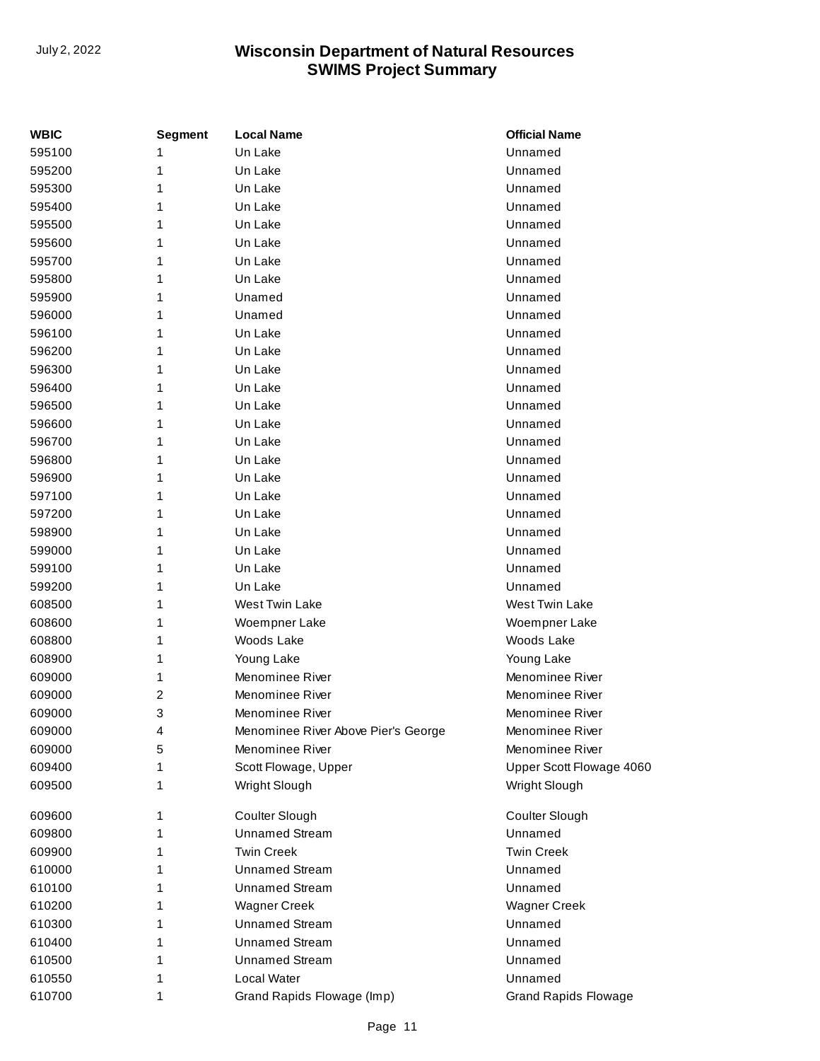| <b>WBIC</b> | Segment | <b>Local Name</b>                   | <b>Official Name</b>        |
|-------------|---------|-------------------------------------|-----------------------------|
| 595100      | 1       | Un Lake                             | Unnamed                     |
| 595200      | 1       | Un Lake                             | Unnamed                     |
| 595300      | 1       | Un Lake                             | Unnamed                     |
| 595400      | 1       | Un Lake                             | Unnamed                     |
| 595500      | 1       | Un Lake                             | Unnamed                     |
| 595600      | 1       | Un Lake                             | Unnamed                     |
| 595700      | 1       | Un Lake                             | Unnamed                     |
| 595800      | 1       | Un Lake                             | Unnamed                     |
| 595900      | 1       | Unamed                              | Unnamed                     |
| 596000      | 1       | Unamed                              | Unnamed                     |
| 596100      | 1       | Un Lake                             | Unnamed                     |
| 596200      | 1       | Un Lake                             | Unnamed                     |
| 596300      | 1       | Un Lake                             | Unnamed                     |
| 596400      | 1       | Un Lake                             | Unnamed                     |
| 596500      | 1       | Un Lake                             | Unnamed                     |
| 596600      | 1       | Un Lake                             | Unnamed                     |
| 596700      | 1       | Un Lake                             | Unnamed                     |
| 596800      | 1       | Un Lake                             | Unnamed                     |
| 596900      | 1       | Un Lake                             | Unnamed                     |
| 597100      | 1       | Un Lake                             | Unnamed                     |
| 597200      | 1       | Un Lake                             | Unnamed                     |
| 598900      | 1       | Un Lake                             | Unnamed                     |
| 599000      | 1       | Un Lake                             | Unnamed                     |
| 599100      | 1       | Un Lake                             | Unnamed                     |
| 599200      | 1       | Un Lake                             | Unnamed                     |
| 608500      | 1       | West Twin Lake                      | West Twin Lake              |
| 608600      | 1       | Woempner Lake                       | Woempner Lake               |
| 608800      | 1       | Woods Lake                          | Woods Lake                  |
| 608900      | 1       | Young Lake                          | Young Lake                  |
| 609000      | 1       | Menominee River                     | Menominee River             |
| 609000      | 2       | Menominee River                     | Menominee River             |
| 609000      | 3       | Menominee River                     | Menominee River             |
| 609000      | 4       | Menominee River Above Pier's George | Menominee River             |
| 609000      | 5       | Menominee River                     | Menominee River             |
| 609400      | 1       | Scott Flowage, Upper                | Upper Scott Flowage 4060    |
| 609500      | 1       | Wright Slough                       | Wright Slough               |
| 609600      | 1       | Coulter Slough                      | Coulter Slough              |
| 609800      | 1       | <b>Unnamed Stream</b>               | Unnamed                     |
| 609900      | 1       | <b>Twin Creek</b>                   | <b>Twin Creek</b>           |
| 610000      | 1       | <b>Unnamed Stream</b>               | Unnamed                     |
| 610100      | 1       | <b>Unnamed Stream</b>               | Unnamed                     |
| 610200      | 1       | <b>Wagner Creek</b>                 | <b>Wagner Creek</b>         |
| 610300      | 1       | <b>Unnamed Stream</b>               | Unnamed                     |
| 610400      | 1       | <b>Unnamed Stream</b>               | Unnamed                     |
| 610500      | 1       | <b>Unnamed Stream</b>               | Unnamed                     |
| 610550      | 1       | Local Water                         | Unnamed                     |
| 610700      | 1       | Grand Rapids Flowage (Imp)          | <b>Grand Rapids Flowage</b> |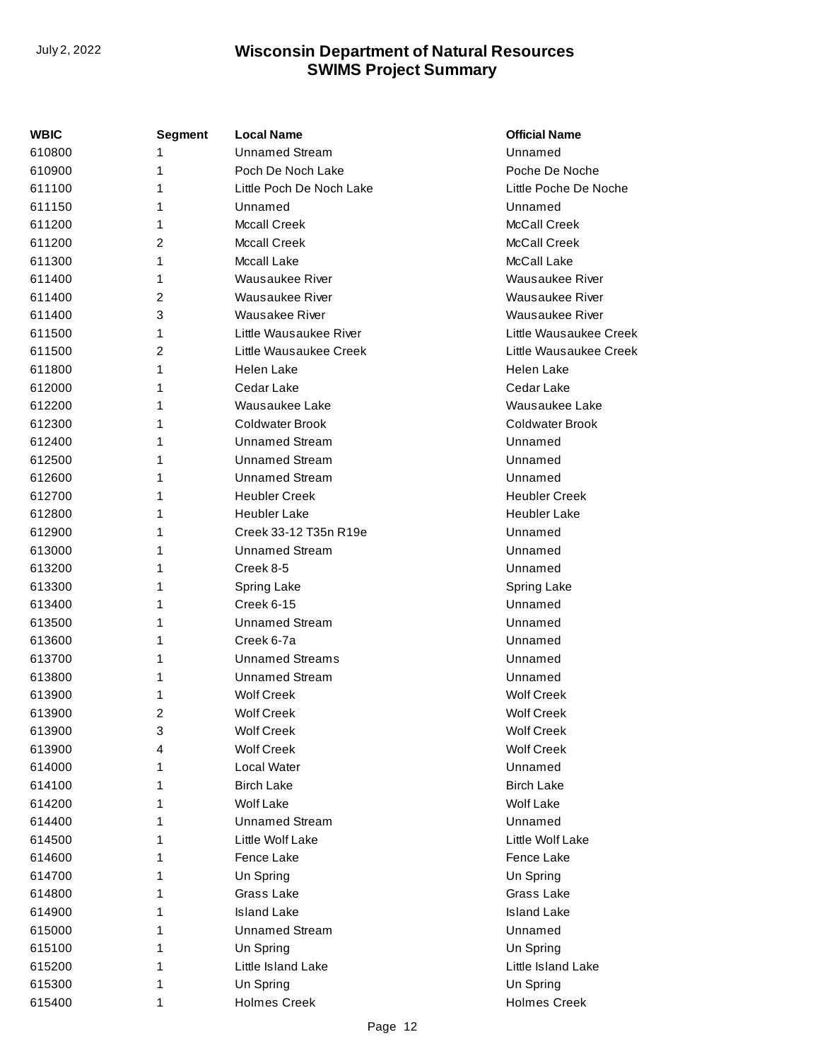| <b>WBIC</b> | <b>Segment</b> | <b>Local Name</b>        | <b>Official Name</b>   |
|-------------|----------------|--------------------------|------------------------|
| 610800      | 1              | <b>Unnamed Stream</b>    | Unnamed                |
| 610900      | 1              | Poch De Noch Lake        | Poche De Noche         |
| 611100      | 1              | Little Poch De Noch Lake | Little Poche De Noche  |
| 611150      | 1              | Unnamed                  | Unnamed                |
| 611200      | 1              | <b>Mccall Creek</b>      | McCall Creek           |
| 611200      | 2              | <b>Mccall Creek</b>      | McCall Creek           |
| 611300      | 1              | <b>Mccall Lake</b>       | McCall Lake            |
| 611400      | 1              | Wausaukee River          | Wausaukee River        |
| 611400      | 2              | Wausaukee River          | Wausaukee River        |
| 611400      | 3              | Wausakee River           | Wausaukee River        |
| 611500      | 1              | Little Wausaukee River   | Little Wausaukee Creek |
| 611500      | 2              | Little Wausaukee Creek   | Little Wausaukee Creek |
| 611800      | 1              | Helen Lake               | Helen Lake             |
| 612000      | 1              | Cedar Lake               | Cedar Lake             |
| 612200      | 1              | Wausaukee Lake           | Wausaukee Lake         |
| 612300      | 1              | Coldwater Brook          | <b>Coldwater Brook</b> |
| 612400      | 1              | <b>Unnamed Stream</b>    | Unnamed                |
| 612500      | 1              | <b>Unnamed Stream</b>    | Unnamed                |
| 612600      | 1              | <b>Unnamed Stream</b>    | Unnamed                |
| 612700      | 1              | <b>Heubler Creek</b>     | <b>Heubler Creek</b>   |
| 612800      | 1              | <b>Heubler Lake</b>      | <b>Heubler Lake</b>    |
| 612900      | 1              | Creek 33-12 T35n R19e    | Unnamed                |
| 613000      | 1              | <b>Unnamed Stream</b>    | Unnamed                |
| 613200      | 1              | Creek 8-5                | Unnamed                |
| 613300      | 1              | Spring Lake              | Spring Lake            |
| 613400      | 1              | <b>Creek 6-15</b>        | Unnamed                |
| 613500      | 1              | <b>Unnamed Stream</b>    | Unnamed                |
| 613600      | 1              | Creek 6-7a               | Unnamed                |
| 613700      | 1              | <b>Unnamed Streams</b>   | Unnamed                |
| 613800      | 1              | <b>Unnamed Stream</b>    | Unnamed                |
| 613900      | 1              | <b>Wolf Creek</b>        | <b>Wolf Creek</b>      |
| 613900      | 2              | <b>Wolf Creek</b>        | <b>Wolf Creek</b>      |
| 613900      | 3              | <b>Wolf Creek</b>        | <b>Wolf Creek</b>      |
| 613900      | 4              | <b>Wolf Creek</b>        | <b>Wolf Creek</b>      |
| 614000      | 1              | Local Water              | Unnamed                |
| 614100      | 1              | <b>Birch Lake</b>        | <b>Birch Lake</b>      |
| 614200      | 1              | <b>Wolf Lake</b>         | <b>Wolf Lake</b>       |
| 614400      | 1              | <b>Unnamed Stream</b>    | Unnamed                |
| 614500      | 1              | Little Wolf Lake         | Little Wolf Lake       |
| 614600      | 1              | Fence Lake               | Fence Lake             |
| 614700      | 1              | Un Spring                | Un Spring              |
| 614800      | 1              | Grass Lake               | Grass Lake             |
| 614900      | 1              | <b>Island Lake</b>       | <b>Island Lake</b>     |
| 615000      | 1              | <b>Unnamed Stream</b>    | Unnamed                |
| 615100      | 1              | Un Spring                | Un Spring              |
| 615200      | 1              | Little Island Lake       | Little Island Lake     |
| 615300      | 1              | Un Spring                | Un Spring              |
| 615400      | 1              | <b>Holmes Creek</b>      | <b>Holmes Creek</b>    |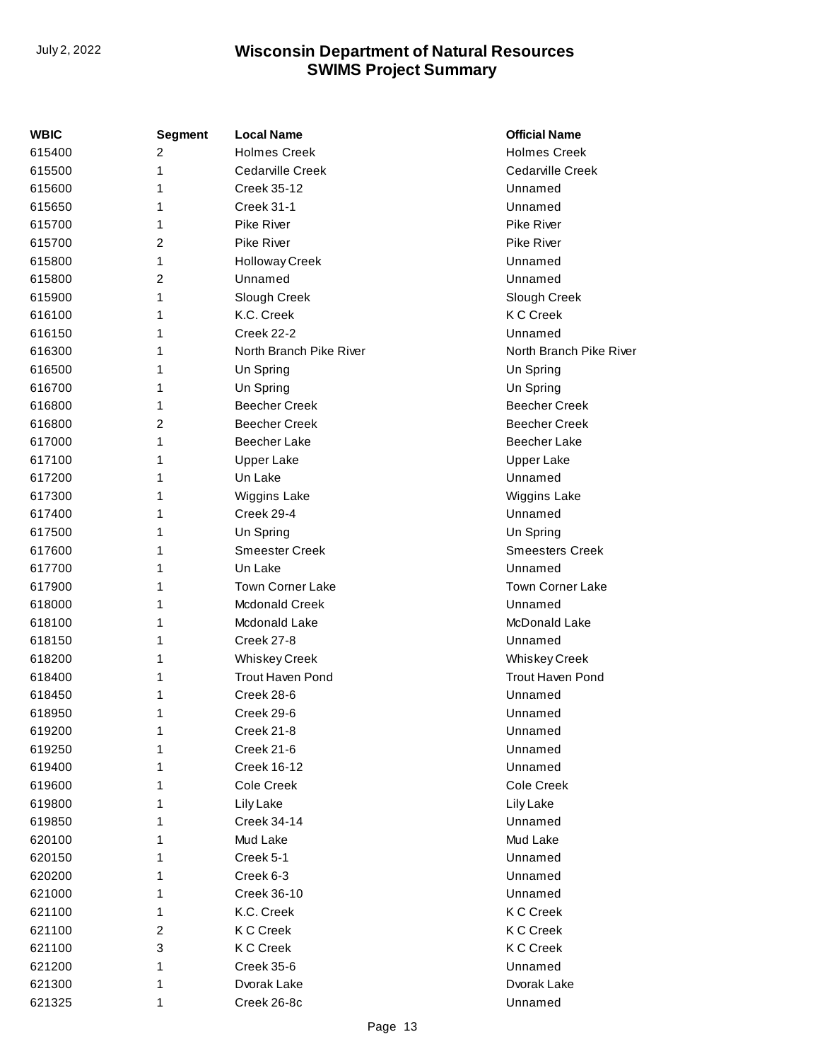| WBIC   | <b>Segment</b> | <b>Local Name</b>       | <b>Official Name</b>    |
|--------|----------------|-------------------------|-------------------------|
| 615400 | 2              | <b>Holmes Creek</b>     | <b>Holmes Creek</b>     |
| 615500 | 1              | Cedarville Creek        | Cedarville Creek        |
| 615600 | 1              | Creek 35-12             | Unnamed                 |
| 615650 | 1              | <b>Creek 31-1</b>       | Unnamed                 |
| 615700 | 1              | Pike River              | <b>Pike River</b>       |
| 615700 | 2              | <b>Pike River</b>       | <b>Pike River</b>       |
| 615800 | 1              | <b>Holloway Creek</b>   | Unnamed                 |
| 615800 | 2              | Unnamed                 | Unnamed                 |
| 615900 | 1              | Slough Creek            | Slough Creek            |
| 616100 | 1              | K.C. Creek              | <b>KCC</b> reek         |
| 616150 | 1              | Creek 22-2              | Unnamed                 |
| 616300 | 1              | North Branch Pike River | North Branch Pike River |
| 616500 | 1              | Un Spring               | Un Spring               |
| 616700 | 1              | Un Spring               | Un Spring               |
| 616800 | 1              | <b>Beecher Creek</b>    | <b>Beecher Creek</b>    |
| 616800 | 2              | <b>Beecher Creek</b>    | <b>Beecher Creek</b>    |
| 617000 | 1              | <b>Beecher Lake</b>     | <b>Beecher Lake</b>     |
| 617100 | 1              | <b>Upper Lake</b>       | <b>Upper Lake</b>       |
| 617200 | 1              | Un Lake                 | Unnamed                 |
| 617300 | 1              | Wiggins Lake            | Wiggins Lake            |
| 617400 | 1              | Creek 29-4              | Unnamed                 |
| 617500 | 1              | Un Spring               | Un Spring               |
| 617600 | 1              | <b>Smeester Creek</b>   | <b>Smeesters Creek</b>  |
| 617700 | 1              | Un Lake                 | Unnamed                 |
| 617900 | 1              | <b>Town Corner Lake</b> | <b>Town Corner Lake</b> |
| 618000 | 1              | <b>Mcdonald Creek</b>   | Unnamed                 |
| 618100 | 1              | Mcdonald Lake           | McDonald Lake           |
| 618150 | 1              | Creek 27-8              | Unnamed                 |
| 618200 | 1              | <b>Whiskey Creek</b>    | <b>Whiskey Creek</b>    |
| 618400 | 1              | <b>Trout Haven Pond</b> | Trout Haven Pond        |
| 618450 | 1              | Creek 28-6              | Unnamed                 |
| 618950 | 1              | Creek 29-6              | Unnamed                 |
| 619200 | 1              | Creek 21-8              | Unnamed                 |
| 619250 | 1              | <b>Creek 21-6</b>       | Unnamed                 |
| 619400 | 1              | <b>Creek 16-12</b>      | Unnamed                 |
| 619600 | 1              | Cole Creek              | Cole Creek              |
| 619800 | 1              | Lily Lake               | Lily Lake               |
| 619850 | 1              | Creek 34-14             | Unnamed                 |
| 620100 | 1              | Mud Lake                | Mud Lake                |
| 620150 | 1              | Creek 5-1               | Unnamed                 |
| 620200 | 1              | Creek 6-3               | Unnamed                 |
| 621000 | 1              | Creek 36-10             | Unnamed                 |
| 621100 | 1              | K.C. Creek              | <b>KC</b> Creek         |
| 621100 | 2              | <b>KC</b> Creek         | <b>KC</b> Creek         |
| 621100 | 3              | <b>KC</b> Creek         | <b>K C Creek</b>        |
| 621200 | 1              | <b>Creek 35-6</b>       | Unnamed                 |
| 621300 | 1              | Dvorak Lake             | Dvorak Lake             |
| 621325 | 1              | Creek 26-8c             | Unnamed                 |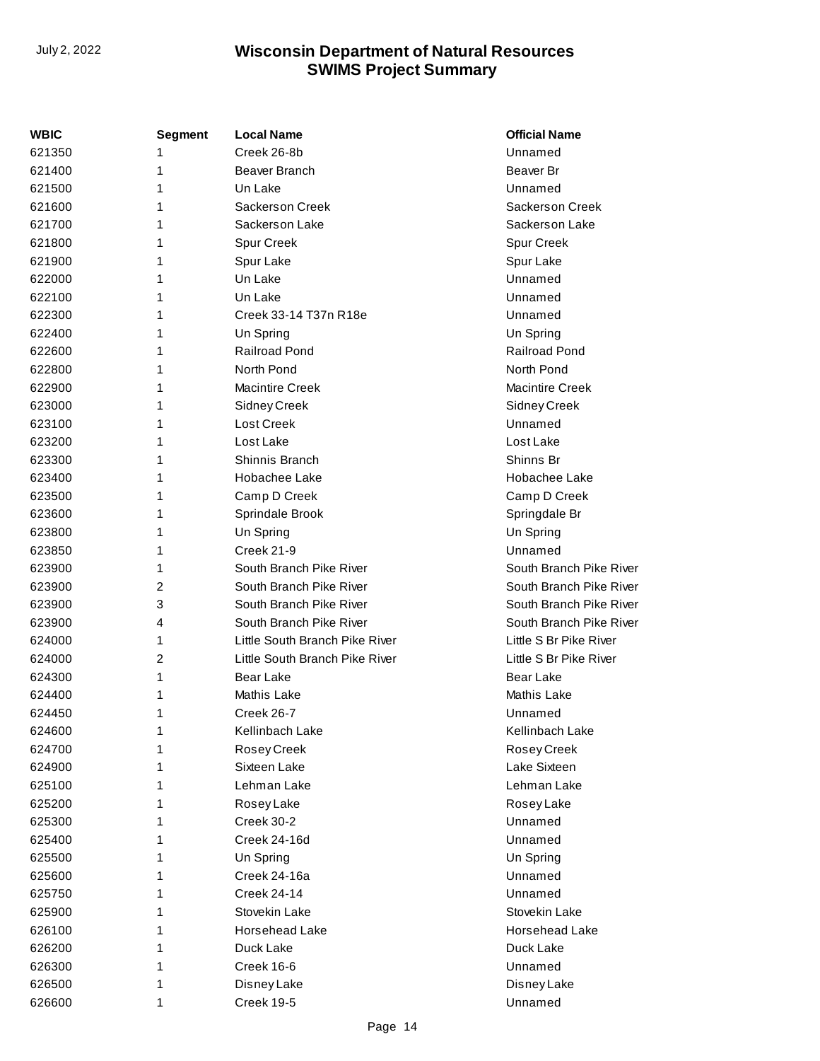| WBIC   | <b>Segment</b> | <b>Local Name</b>              | <b>Official Name</b>    |
|--------|----------------|--------------------------------|-------------------------|
| 621350 | 1              | Creek 26-8b                    | Unnamed                 |
| 621400 | 1              | Beaver Branch                  | Beaver Br               |
| 621500 | 1              | Un Lake                        | Unnamed                 |
| 621600 | 1              | <b>Sackerson Creek</b>         | <b>Sackerson Creek</b>  |
| 621700 | 1              | Sackerson Lake                 | Sackerson Lake          |
| 621800 | 1              | Spur Creek                     | Spur Creek              |
| 621900 | 1              | Spur Lake                      | Spur Lake               |
| 622000 | 1              | Un Lake                        | Unnamed                 |
| 622100 | 1              | Un Lake                        | Unnamed                 |
| 622300 | 1              | Creek 33-14 T37n R18e          | Unnamed                 |
| 622400 | 1              | Un Spring                      | Un Spring               |
| 622600 | 1              | <b>Railroad Pond</b>           | <b>Railroad Pond</b>    |
| 622800 | 1              | North Pond                     | North Pond              |
| 622900 | 1              | Macintire Creek                | <b>Macintire Creek</b>  |
| 623000 | 1              | <b>Sidney Creek</b>            | Sidney Creek            |
| 623100 | 1              | Lost Creek                     | Unnamed                 |
| 623200 | 1              | Lost Lake                      | Lost Lake               |
| 623300 | 1              | Shinnis Branch                 | Shinns Br               |
| 623400 | 1              | Hobachee Lake                  | Hobachee Lake           |
| 623500 | 1              | Camp D Creek                   | Camp D Creek            |
| 623600 | 1              | Sprindale Brook                | Springdale Br           |
| 623800 | 1              | Un Spring                      | Un Spring               |
| 623850 | 1              | <b>Creek 21-9</b>              | Unnamed                 |
| 623900 | 1              | South Branch Pike River        | South Branch Pike River |
| 623900 | 2              | South Branch Pike River        | South Branch Pike River |
| 623900 | 3              | South Branch Pike River        | South Branch Pike River |
| 623900 | 4              | South Branch Pike River        | South Branch Pike River |
| 624000 | 1              | Little South Branch Pike River | Little S Br Pike River  |
| 624000 | 2              | Little South Branch Pike River | Little S Br Pike River  |
| 624300 | 1              | Bear Lake                      | Bear Lake               |
| 624400 | 1              | Mathis Lake                    | Mathis Lake             |
| 624450 | 1              | Creek 26-7                     | Unnamed                 |
| 624600 | 1              | Kellinbach Lake                | Kellinbach Lake         |
| 624700 | 1              | Rosey Creek                    | Rosey Creek             |
| 624900 | 1              | Sixteen Lake                   | Lake Sixteen            |
| 625100 | 1              | Lehman Lake                    | Lehman Lake             |
| 625200 | 1              | Rosey Lake                     | Rosey Lake              |
| 625300 | 1              | Creek 30-2                     | Unnamed                 |
| 625400 | 1              | Creek 24-16d                   | Unnamed                 |
| 625500 | 1              | Un Spring                      | Un Spring               |
| 625600 | 1              | Creek 24-16a                   | Unnamed                 |
| 625750 | 1              | <b>Creek 24-14</b>             | Unnamed                 |
| 625900 | 1              | Stovekin Lake                  | Stovekin Lake           |
| 626100 | 1              | Horsehead Lake                 | Horsehead Lake          |
| 626200 | 1              | Duck Lake                      | Duck Lake               |
| 626300 | 1              | Creek 16-6                     | Unnamed                 |
| 626500 | 1              | Disney Lake                    | Disney Lake             |
| 626600 | 1              | Creek 19-5                     | Unnamed                 |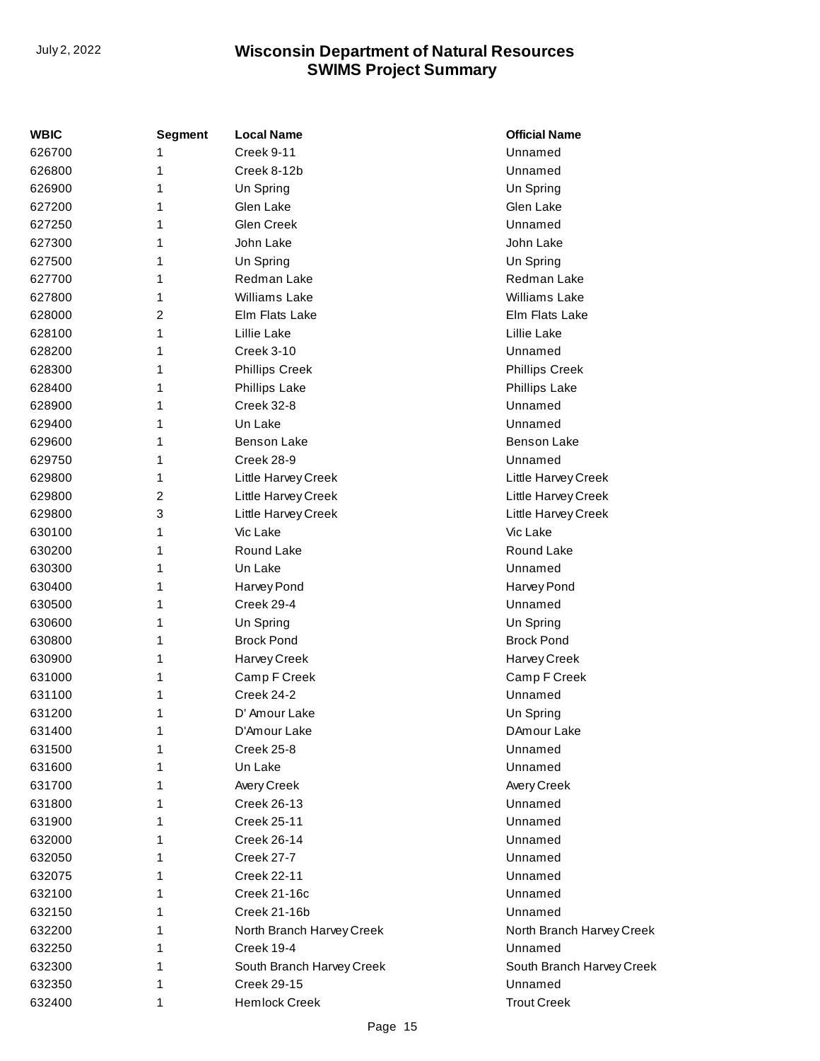| <b>WBIC</b> | Segment | <b>Local Name</b>         | <b>Official Name</b>      |
|-------------|---------|---------------------------|---------------------------|
| 626700      | 1       | Creek 9-11                | Unnamed                   |
| 626800      | 1       | Creek 8-12b               | Unnamed                   |
| 626900      | 1       | Un Spring                 | Un Spring                 |
| 627200      | 1       | Glen Lake                 | Glen Lake                 |
| 627250      | 1       | Glen Creek                | Unnamed                   |
| 627300      | 1       | John Lake                 | John Lake                 |
| 627500      | 1       | Un Spring                 | Un Spring                 |
| 627700      | 1       | Redman Lake               | Redman Lake               |
| 627800      | 1       | <b>Williams Lake</b>      | <b>Williams Lake</b>      |
| 628000      | 2       | Elm Flats Lake            | Elm Flats Lake            |
| 628100      | 1       | Lillie Lake               | Lillie Lake               |
| 628200      | 1       | <b>Creek 3-10</b>         | Unnamed                   |
| 628300      | 1       | <b>Phillips Creek</b>     | <b>Phillips Creek</b>     |
| 628400      | 1       | <b>Phillips Lake</b>      | <b>Phillips Lake</b>      |
| 628900      | 1       | Creek 32-8                | Unnamed                   |
| 629400      | 1       | Un Lake                   | Unnamed                   |
| 629600      | 1       | <b>Benson Lake</b>        | <b>Benson Lake</b>        |
| 629750      | 1       | Creek 28-9                | Unnamed                   |
| 629800      | 1       | Little Harvey Creek       | Little Harvey Creek       |
| 629800      | 2       | Little Harvey Creek       | Little Harvey Creek       |
| 629800      | 3       | Little Harvey Creek       | Little Harvey Creek       |
| 630100      | 1       | Vic Lake                  | Vic Lake                  |
| 630200      | 1       | Round Lake                | Round Lake                |
| 630300      | 1       | Un Lake                   | Unnamed                   |
| 630400      | 1       | Harvey Pond               | Harvey Pond               |
| 630500      | 1       | Creek 29-4                | Unnamed                   |
| 630600      | 1       | Un Spring                 | Un Spring                 |
| 630800      | 1       | <b>Brock Pond</b>         | <b>Brock Pond</b>         |
| 630900      | 1       | Harvey Creek              | Harvey Creek              |
| 631000      | 1       | Camp F Creek              | Camp F Creek              |
| 631100      | 1       | Creek 24-2                | Unnamed                   |
| 631200      | 1       | D' Amour Lake             | Un Spring                 |
| 631400      | 1       | D'Amour Lake              | DAmour Lake               |
| 631500      | 1       | Creek 25-8                | Unnamed                   |
| 631600      | 1       | Un Lake                   | Unnamed                   |
| 631700      | 1       | Avery Creek               | Avery Creek               |
| 631800      | 1       | <b>Creek 26-13</b>        | Unnamed                   |
| 631900      | 1       | <b>Creek 25-11</b>        | Unnamed                   |
| 632000      | 1       | Creek 26-14               | Unnamed                   |
| 632050      | 1       | Creek 27-7                | Unnamed                   |
| 632075      | 1       | <b>Creek 22-11</b>        | Unnamed                   |
| 632100      | 1       | Creek 21-16c              | Unnamed                   |
| 632150      | 1       | Creek 21-16b              | Unnamed                   |
| 632200      | 1       | North Branch Harvey Creek | North Branch Harvey Creek |
| 632250      | 1       | Creek 19-4                | Unnamed                   |
| 632300      | 1       | South Branch Harvey Creek | South Branch Harvey Creek |
| 632350      | 1       | <b>Creek 29-15</b>        | Unnamed                   |
| 632400      | 1       | <b>Hemlock Creek</b>      | <b>Trout Creek</b>        |
|             |         |                           |                           |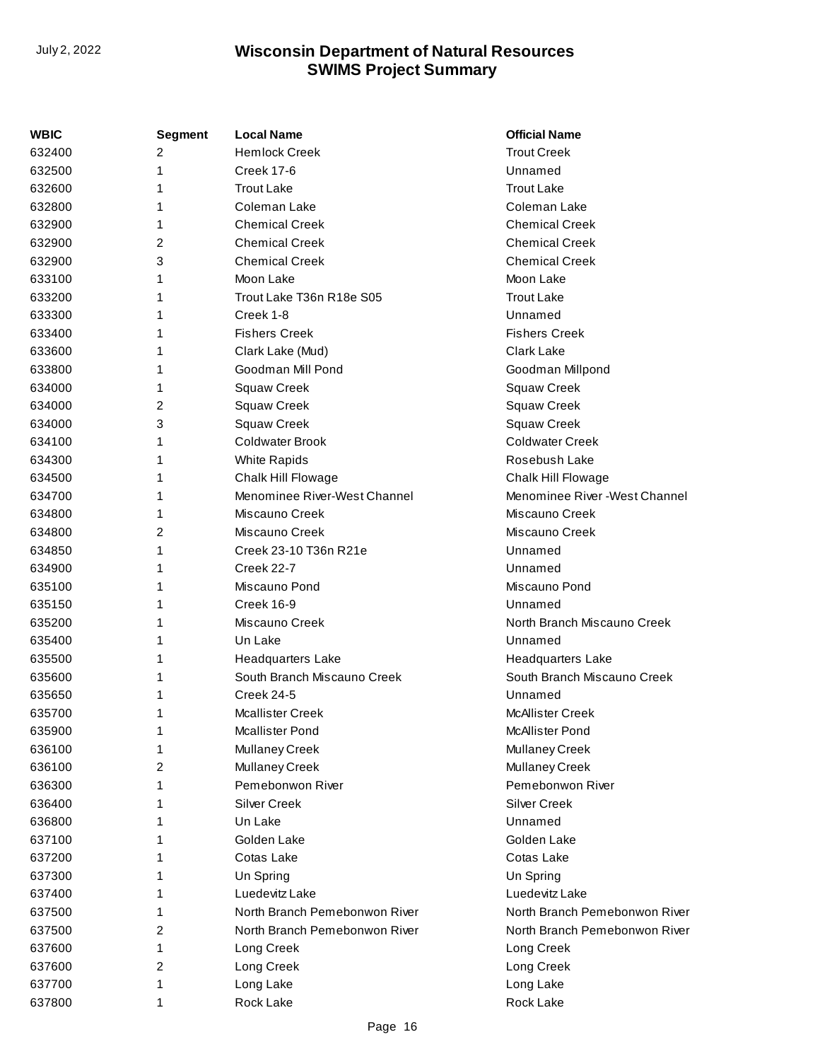| WBIC   | <b>Segment</b> | <b>Local Name</b>             | <b>Official Name</b>           |
|--------|----------------|-------------------------------|--------------------------------|
| 632400 | 2              | <b>Hemlock Creek</b>          | <b>Trout Creek</b>             |
| 632500 | 1              | <b>Creek 17-6</b>             | Unnamed                        |
| 632600 | 1              | <b>Trout Lake</b>             | <b>Trout Lake</b>              |
| 632800 | 1              | Coleman Lake                  | Coleman Lake                   |
| 632900 | 1              | <b>Chemical Creek</b>         | <b>Chemical Creek</b>          |
| 632900 | 2              | <b>Chemical Creek</b>         | <b>Chemical Creek</b>          |
| 632900 | 3              | <b>Chemical Creek</b>         | <b>Chemical Creek</b>          |
| 633100 | 1              | Moon Lake                     | Moon Lake                      |
| 633200 | 1              | Trout Lake T36n R18e S05      | <b>Trout Lake</b>              |
| 633300 | 1              | Creek 1-8                     | Unnamed                        |
| 633400 | 1              | <b>Fishers Creek</b>          | <b>Fishers Creek</b>           |
| 633600 | 1              | Clark Lake (Mud)              | <b>Clark Lake</b>              |
| 633800 | 1              | Goodman Mill Pond             | Goodman Millpond               |
| 634000 | 1              | <b>Squaw Creek</b>            | Squaw Creek                    |
| 634000 | 2              | <b>Squaw Creek</b>            | Squaw Creek                    |
| 634000 | 3              | <b>Squaw Creek</b>            | Squaw Creek                    |
| 634100 | 1              | Coldwater Brook               | <b>Coldwater Creek</b>         |
| 634300 | 1              | White Rapids                  | Rosebush Lake                  |
| 634500 | 1              | Chalk Hill Flowage            | Chalk Hill Flowage             |
| 634700 | 1              | Menominee River-West Channel  | Menominee River - West Channel |
| 634800 | 1              | Miscauno Creek                | Miscauno Creek                 |
| 634800 | 2              | Miscauno Creek                | Miscauno Creek                 |
| 634850 | 1              | Creek 23-10 T36n R21e         | Unnamed                        |
| 634900 | 1              | <b>Creek 22-7</b>             | Unnamed                        |
| 635100 | 1              | Miscauno Pond                 | Miscauno Pond                  |
| 635150 | 1              | Creek 16-9                    | Unnamed                        |
| 635200 | 1              | Miscauno Creek                | North Branch Miscauno Creek    |
| 635400 | 1              | Un Lake                       | Unnamed                        |
| 635500 | 1              | <b>Headquarters Lake</b>      | <b>Headquarters Lake</b>       |
| 635600 | 1              | South Branch Miscauno Creek   | South Branch Miscauno Creek    |
| 635650 | 1              | Creek 24-5                    | Unnamed                        |
| 635700 | 1              | <b>Mcallister Creek</b>       | McAllister Creek               |
| 635900 | 1              | <b>Mcallister Pond</b>        | McAllister Pond                |
| 636100 | 1              | Mullaney Creek                | Mullaney Creek                 |
| 636100 | 2              | Mullaney Creek                | Mullaney Creek                 |
| 636300 | 1              | Pemebonwon River              | Pemebonwon River               |
| 636400 | 1              | <b>Silver Creek</b>           | Silver Creek                   |
| 636800 | 1              | Un Lake                       | Unnamed                        |
| 637100 | 1              | Golden Lake                   | Golden Lake                    |
| 637200 | 1              | Cotas Lake                    | Cotas Lake                     |
| 637300 | 1              | Un Spring                     | Un Spring                      |
| 637400 | 1              | Luedevitz Lake                | Luedevitz Lake                 |
| 637500 | 1              | North Branch Pemebonwon River | North Branch Pemebonwon River  |
| 637500 | 2              | North Branch Pemebonwon River | North Branch Pemebonwon River  |
| 637600 | 1              | Long Creek                    | Long Creek                     |
| 637600 | 2              | Long Creek                    | Long Creek                     |
| 637700 | 1              | Long Lake                     | Long Lake                      |
| 637800 | 1              | Rock Lake                     | Rock Lake                      |
|        |                |                               |                                |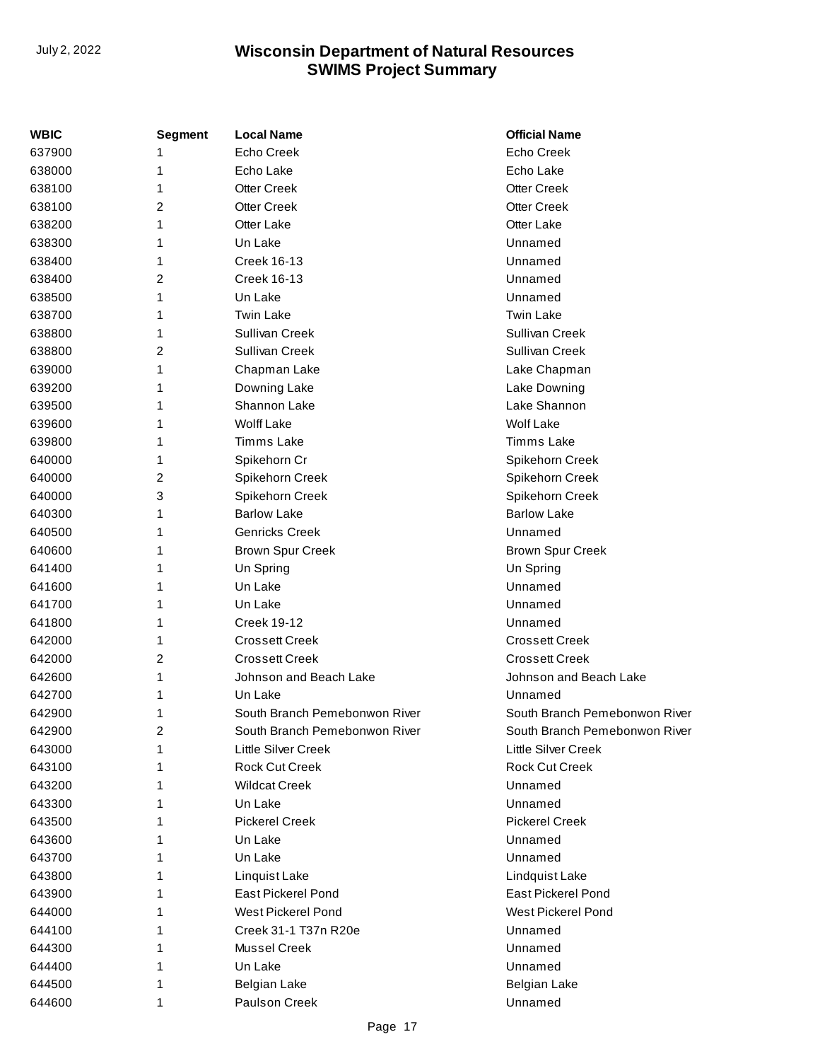| WBIC   | Segment | <b>Local Name</b>             | <b>Official Name</b>          |
|--------|---------|-------------------------------|-------------------------------|
| 637900 | 1       | Echo Creek                    | <b>Echo Creek</b>             |
| 638000 | 1       | Echo Lake                     | Echo Lake                     |
| 638100 | 1       | <b>Otter Creek</b>            | <b>Otter Creek</b>            |
| 638100 | 2       | <b>Otter Creek</b>            | <b>Otter Creek</b>            |
| 638200 | 1       | Otter Lake                    | Otter Lake                    |
| 638300 | 1       | Un Lake                       | Unnamed                       |
| 638400 | 1       | <b>Creek 16-13</b>            | Unnamed                       |
| 638400 | 2       | <b>Creek 16-13</b>            | Unnamed                       |
| 638500 | 1       | Un Lake                       | Unnamed                       |
| 638700 | 1       | <b>Twin Lake</b>              | <b>Twin Lake</b>              |
| 638800 | 1       | Sullivan Creek                | <b>Sullivan Creek</b>         |
| 638800 | 2       | Sullivan Creek                | Sullivan Creek                |
| 639000 | 1       | Chapman Lake                  | Lake Chapman                  |
| 639200 | 1       | Downing Lake                  | Lake Downing                  |
| 639500 | 1       | Shannon Lake                  | Lake Shannon                  |
| 639600 | 1       | <b>Wolff Lake</b>             | <b>Wolf Lake</b>              |
| 639800 | 1       | Timms Lake                    | Timms Lake                    |
| 640000 | 1       | Spikehorn Cr                  | Spikehorn Creek               |
| 640000 | 2       | Spikehorn Creek               | Spikehorn Creek               |
| 640000 | 3       | Spikehorn Creek               | Spikehorn Creek               |
| 640300 | 1       | <b>Barlow Lake</b>            | <b>Barlow Lake</b>            |
| 640500 | 1       | <b>Genricks Creek</b>         | Unnamed                       |
| 640600 | 1       | <b>Brown Spur Creek</b>       | <b>Brown Spur Creek</b>       |
| 641400 | 1       | Un Spring                     | Un Spring                     |
| 641600 | 1       | Un Lake                       | Unnamed                       |
| 641700 | 1       | Un Lake                       | Unnamed                       |
| 641800 | 1       | <b>Creek 19-12</b>            | Unnamed                       |
| 642000 | 1       | <b>Crossett Creek</b>         | <b>Crossett Creek</b>         |
| 642000 | 2       | <b>Crossett Creek</b>         | <b>Crossett Creek</b>         |
| 642600 | 1       | Johnson and Beach Lake        | Johnson and Beach Lake        |
| 642700 | 1       | Un Lake                       | Unnamed                       |
| 642900 | 1       | South Branch Pemebonwon River | South Branch Pemebonwon River |
| 642900 | 2       | South Branch Pemebonwon River | South Branch Pemebonwon River |
| 643000 | 1       | <b>Little Silver Creek</b>    | Little Silver Creek           |
| 643100 | 1       | <b>Rock Cut Creek</b>         | <b>Rock Cut Creek</b>         |
| 643200 | 1       | <b>Wildcat Creek</b>          | Unnamed                       |
| 643300 | 1       | Un Lake                       | Unnamed                       |
| 643500 | 1       | <b>Pickerel Creek</b>         | <b>Pickerel Creek</b>         |
| 643600 | 1       | Un Lake                       | Unnamed                       |
| 643700 | 1       | Un Lake                       | Unnamed                       |
| 643800 | 1       | Linquist Lake                 | Lindquist Lake                |
| 643900 | 1       | <b>East Pickerel Pond</b>     | East Pickerel Pond            |
| 644000 | 1       | West Pickerel Pond            | West Pickerel Pond            |
| 644100 | 1       | Creek 31-1 T37n R20e          | Unnamed                       |
| 644300 | 1       | Mussel Creek                  | Unnamed                       |
| 644400 | 1       | Un Lake                       | Unnamed                       |
| 644500 | 1       | <b>Belgian Lake</b>           | Belgian Lake                  |
| 644600 | 1       | Paulson Creek                 | Unnamed                       |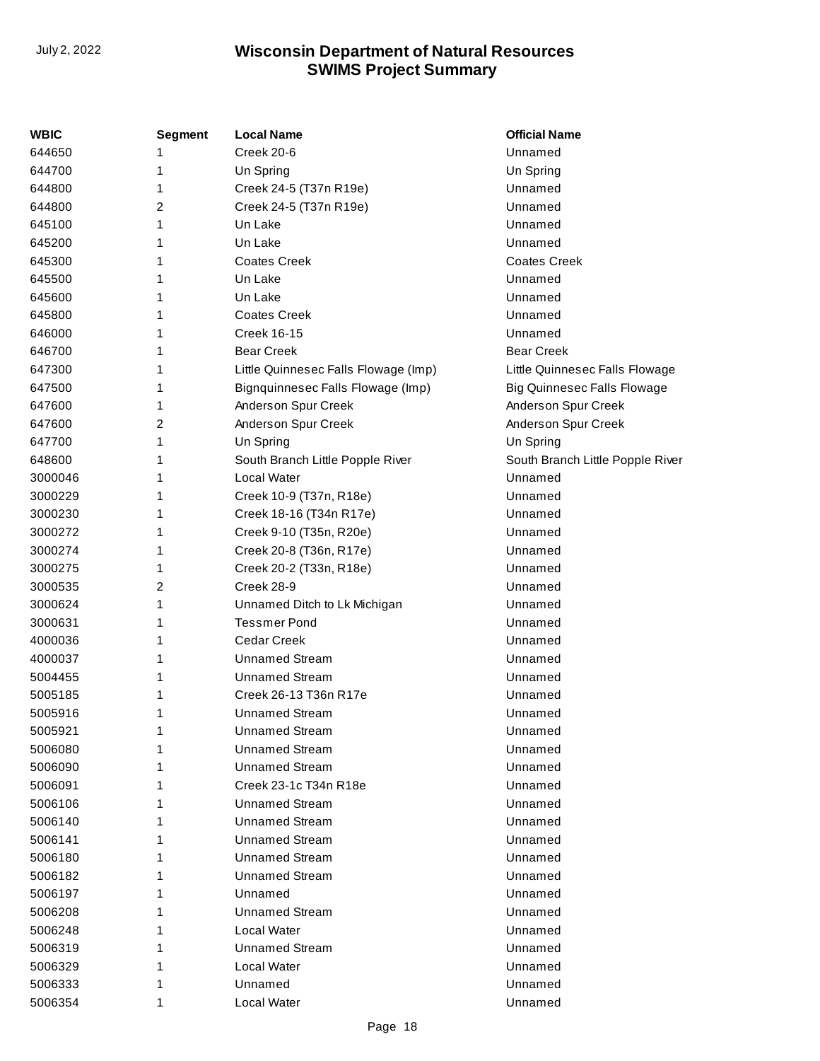| <b>WBIC</b> | <b>Segment</b> | <b>Local Name</b>                    | <b>Official Name</b>               |
|-------------|----------------|--------------------------------------|------------------------------------|
| 644650      | 1              | Creek 20-6                           | Unnamed                            |
| 644700      | 1              | Un Spring                            | Un Spring                          |
| 644800      | 1              | Creek 24-5 (T37n R19e)               | Unnamed                            |
| 644800      | 2              | Creek 24-5 (T37n R19e)               | Unnamed                            |
| 645100      | 1              | Un Lake                              | Unnamed                            |
| 645200      | 1              | Un Lake                              | Unnamed                            |
| 645300      | 1              | <b>Coates Creek</b>                  | <b>Coates Creek</b>                |
| 645500      | 1              | Un Lake                              | Unnamed                            |
| 645600      | 1              | Un Lake                              | Unnamed                            |
| 645800      | 1              | <b>Coates Creek</b>                  | Unnamed                            |
| 646000      | 1              | <b>Creek 16-15</b>                   | Unnamed                            |
| 646700      | 1              | <b>Bear Creek</b>                    | <b>Bear Creek</b>                  |
| 647300      | 1              | Little Quinnesec Falls Flowage (Imp) | Little Quinnesec Falls Flowage     |
| 647500      | 1              | Bignquinnesec Falls Flowage (Imp)    | <b>Big Quinnesec Falls Flowage</b> |
| 647600      | 1              | Anderson Spur Creek                  | Anderson Spur Creek                |
| 647600      | 2              | Anderson Spur Creek                  | Anderson Spur Creek                |
| 647700      | 1              | Un Spring                            | Un Spring                          |
| 648600      | 1              | South Branch Little Popple River     | South Branch Little Popple River   |
| 3000046     | 1              | Local Water                          | Unnamed                            |
| 3000229     | 1              | Creek 10-9 (T37n, R18e)              | Unnamed                            |
| 3000230     | 1              | Creek 18-16 (T34n R17e)              | Unnamed                            |
| 3000272     | 1              | Creek 9-10 (T35n, R20e)              | Unnamed                            |
| 3000274     | 1              | Creek 20-8 (T36n, R17e)              | Unnamed                            |
| 3000275     | 1              | Creek 20-2 (T33n, R18e)              | Unnamed                            |
| 3000535     | 2              | Creek 28-9                           | Unnamed                            |
| 3000624     | 1              | Unnamed Ditch to Lk Michigan         | Unnamed                            |
| 3000631     | 1              | <b>Tessmer Pond</b>                  | Unnamed                            |
| 4000036     | 1              | <b>Cedar Creek</b>                   | Unnamed                            |
| 4000037     | 1              | <b>Unnamed Stream</b>                | Unnamed                            |
| 5004455     | 1              | <b>Unnamed Stream</b>                | Unnamed                            |
| 5005185     | 1              | Creek 26-13 T36n R17e                | Unnamed                            |
| 5005916     | 1              | <b>Unnamed Stream</b>                | Unnamed                            |
| 5005921     |                | <b>Unnamed Stream</b>                | Unnamed                            |
| 5006080     |                | <b>Unnamed Stream</b>                | Unnamed                            |
| 5006090     |                | <b>Unnamed Stream</b>                | Unnamed                            |
| 5006091     |                | Creek 23-1c T34n R18e                | Unnamed                            |
| 5006106     |                | <b>Unnamed Stream</b>                | Unnamed                            |
| 5006140     | 1              | <b>Unnamed Stream</b>                | Unnamed                            |
| 5006141     |                | <b>Unnamed Stream</b>                | Unnamed                            |
| 5006180     | 1              | <b>Unnamed Stream</b>                | Unnamed                            |
| 5006182     |                | <b>Unnamed Stream</b>                | Unnamed                            |
| 5006197     | 1              | Unnamed                              | Unnamed                            |
| 5006208     |                | <b>Unnamed Stream</b>                | Unnamed                            |
| 5006248     |                | Local Water                          | Unnamed                            |
| 5006319     |                | <b>Unnamed Stream</b>                | Unnamed                            |
| 5006329     | 1              | Local Water                          | Unnamed                            |
| 5006333     | 1              | Unnamed                              | Unnamed                            |
| 5006354     | 1              | Local Water                          | Unnamed                            |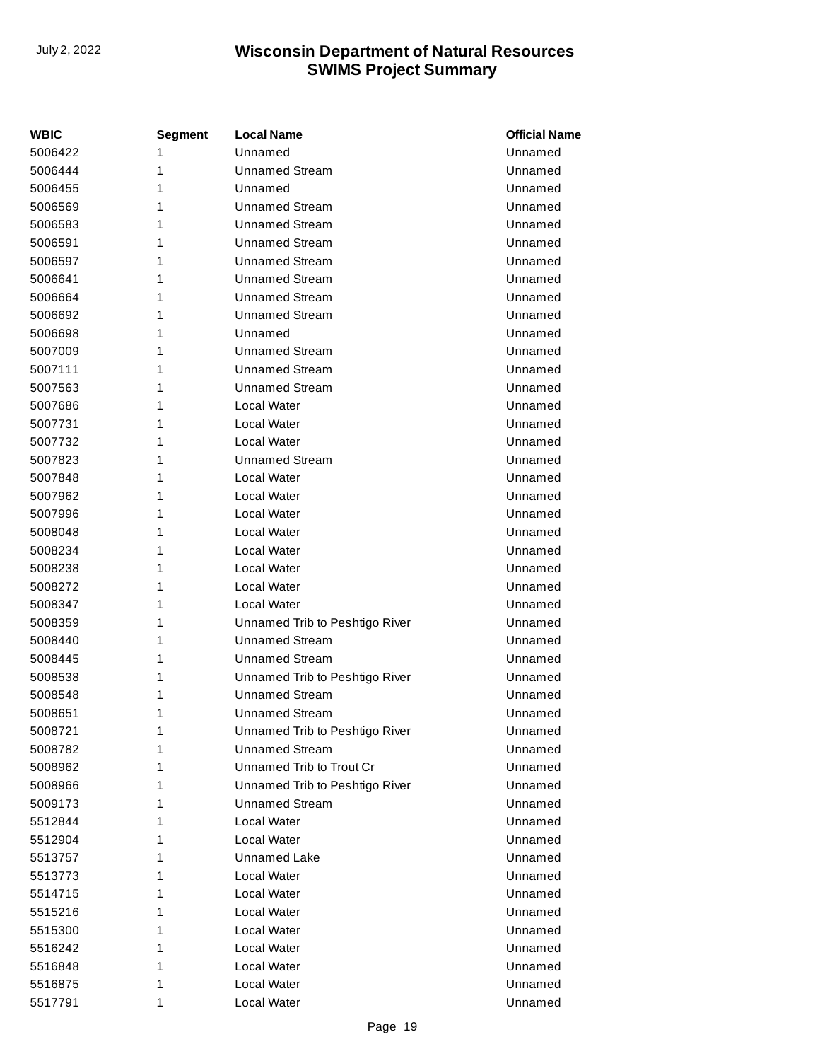| <b>WBIC</b> | Segment | <b>Local Name</b>              | <b>Official Name</b> |
|-------------|---------|--------------------------------|----------------------|
| 5006422     | 1       | Unnamed                        | Unnamed              |
| 5006444     | 1       | <b>Unnamed Stream</b>          | Unnamed              |
| 5006455     | 1       | Unnamed                        | Unnamed              |
| 5006569     | 1       | Unnamed Stream                 | Unnamed              |
| 5006583     | 1       | <b>Unnamed Stream</b>          | Unnamed              |
| 5006591     | 1       | <b>Unnamed Stream</b>          | Unnamed              |
| 5006597     | 1       | <b>Unnamed Stream</b>          | Unnamed              |
| 5006641     | 1       | <b>Unnamed Stream</b>          | Unnamed              |
| 5006664     | 1       | <b>Unnamed Stream</b>          | Unnamed              |
| 5006692     | 1       | <b>Unnamed Stream</b>          | Unnamed              |
| 5006698     | 1       | Unnamed                        | Unnamed              |
| 5007009     | 1       | Unnamed Stream                 | Unnamed              |
| 5007111     | 1       | <b>Unnamed Stream</b>          | Unnamed              |
| 5007563     | 1       | <b>Unnamed Stream</b>          | Unnamed              |
| 5007686     | 1       | Local Water                    | Unnamed              |
| 5007731     | 1       | Local Water                    | Unnamed              |
| 5007732     | 1       | Local Water                    | Unnamed              |
| 5007823     | 1       | <b>Unnamed Stream</b>          | Unnamed              |
| 5007848     | 1       | Local Water                    | Unnamed              |
| 5007962     | 1       | Local Water                    | Unnamed              |
| 5007996     | 1       | Local Water                    | Unnamed              |
| 5008048     | 1       | Local Water                    | Unnamed              |
| 5008234     | 1       | Local Water                    | Unnamed              |
| 5008238     | 1       | Local Water                    | Unnamed              |
| 5008272     | 1       | Local Water                    | Unnamed              |
| 5008347     | 1       | Local Water                    | Unnamed              |
| 5008359     | 1       | Unnamed Trib to Peshtigo River | Unnamed              |
| 5008440     | 1       | <b>Unnamed Stream</b>          | Unnamed              |
| 5008445     | 1       | <b>Unnamed Stream</b>          | Unnamed              |
| 5008538     | 1       | Unnamed Trib to Peshtigo River | Unnamed              |
| 5008548     | 1       | Unnamed Stream                 | Unnamed              |
| 5008651     | 1       | <b>Unnamed Stream</b>          | Unnamed              |
| 5008721     | 1       | Unnamed Trib to Peshtigo River | Unnamed              |
| 5008782     | 1       | <b>Unnamed Stream</b>          | Unnamed              |
| 5008962     | 1       | Unnamed Trib to Trout Cr       | Unnamed              |
| 5008966     | 1       | Unnamed Trib to Peshtigo River | Unnamed              |
| 5009173     | 1       | <b>Unnamed Stream</b>          | Unnamed              |
| 5512844     | 1       | Local Water                    | Unnamed              |
| 5512904     | 1       | Local Water                    | Unnamed              |
| 5513757     | 1       | Unnamed Lake                   | Unnamed              |
| 5513773     | 1       | Local Water                    | Unnamed              |
| 5514715     | 1       | Local Water                    | Unnamed              |
| 5515216     | 1       | Local Water                    | Unnamed              |
| 5515300     | 1       | Local Water                    | Unnamed              |
| 5516242     | 1       | Local Water                    | Unnamed              |
| 5516848     | 1       | Local Water                    | Unnamed              |
| 5516875     | 1       | Local Water                    | Unnamed              |
| 5517791     | 1       | Local Water                    | Unnamed              |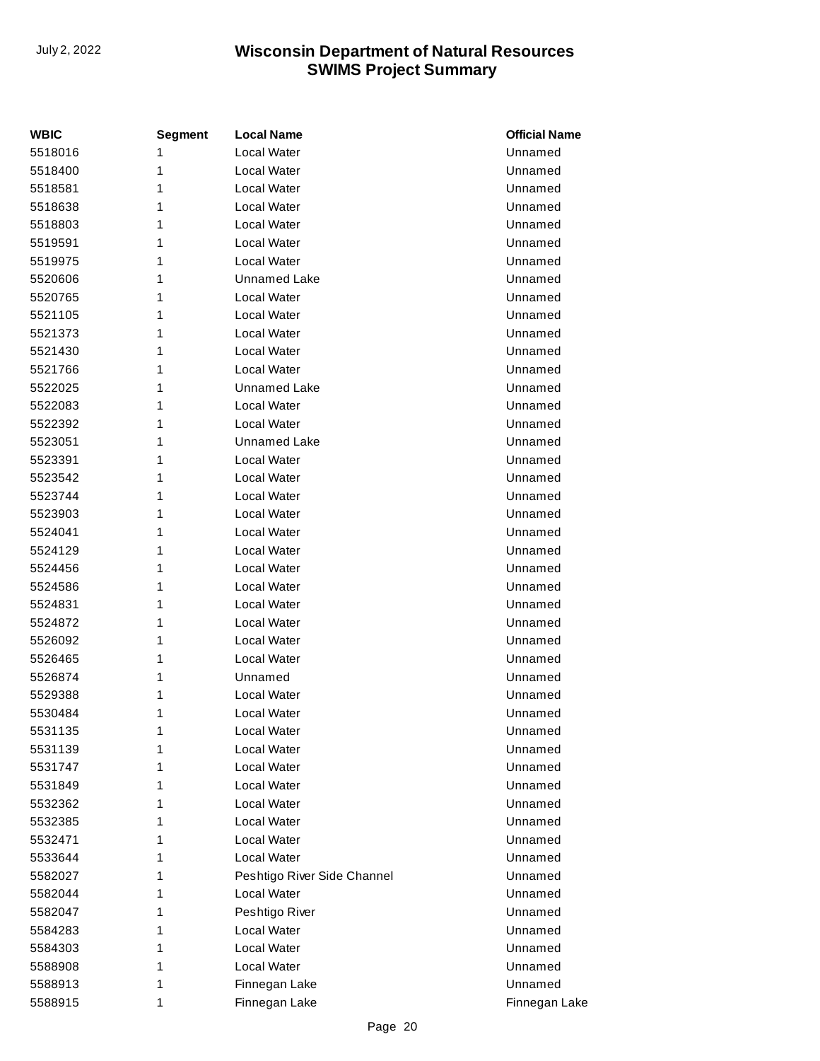| <b>WBIC</b> | Segment | <b>Local Name</b>           | <b>Official Name</b> |
|-------------|---------|-----------------------------|----------------------|
| 5518016     | 1       | Local Water                 | Unnamed              |
| 5518400     | 1       | Local Water                 | Unnamed              |
| 5518581     | 1       | Local Water                 | Unnamed              |
| 5518638     | 1       | Local Water                 | Unnamed              |
| 5518803     | 1       | Local Water                 | Unnamed              |
| 5519591     | 1       | Local Water                 | Unnamed              |
| 5519975     | 1       | Local Water                 | Unnamed              |
| 5520606     | 1       | Unnamed Lake                | Unnamed              |
| 5520765     | 1       | Local Water                 | Unnamed              |
| 5521105     | 1       | Local Water                 | Unnamed              |
| 5521373     | 1       | Local Water                 | Unnamed              |
| 5521430     | 1       | <b>Local Water</b>          | Unnamed              |
| 5521766     | 1       | Local Water                 | Unnamed              |
| 5522025     | 1       | Unnamed Lake                | Unnamed              |
| 5522083     | 1       | Local Water                 | Unnamed              |
| 5522392     | 1       | <b>Local Water</b>          | Unnamed              |
| 5523051     | 1       | Unnamed Lake                | Unnamed              |
| 5523391     | 1       | Local Water                 | Unnamed              |
| 5523542     | 1       | Local Water                 | Unnamed              |
| 5523744     | 1       | Local Water                 | Unnamed              |
| 5523903     | 1       | Local Water                 | Unnamed              |
| 5524041     | 1       | Local Water                 | Unnamed              |
| 5524129     | 1       | Local Water                 | Unnamed              |
| 5524456     | 1       | <b>Local Water</b>          | Unnamed              |
| 5524586     | 1       | Local Water                 | Unnamed              |
| 5524831     | 1       | Local Water                 | Unnamed              |
| 5524872     | 1       | Local Water                 | Unnamed              |
| 5526092     | 1       | Local Water                 | Unnamed              |
| 5526465     | 1       | Local Water                 | Unnamed              |
| 5526874     | 1       | Unnamed                     | Unnamed              |
| 5529388     | 1       | Local Water                 | Unnamed              |
| 5530484     | 1       | Local Water                 | Unnamed              |
| 5531135     | 1       | Local Water                 | Unnamed              |
| 5531139     | 1       | Local Water                 | Unnamed              |
| 5531747     | 1       | Local Water                 | Unnamed              |
| 5531849     | 1       | Local Water                 | Unnamed              |
| 5532362     | 1       | Local Water                 | Unnamed              |
| 5532385     | 1       | Local Water                 | Unnamed              |
| 5532471     | 1       | Local Water                 | Unnamed              |
| 5533644     | 1       | Local Water                 | Unnamed              |
| 5582027     | 1       | Peshtigo River Side Channel | Unnamed              |
| 5582044     | 1       | Local Water                 | Unnamed              |
| 5582047     | 1       | Peshtigo River              | Unnamed              |
| 5584283     | 1       | Local Water                 | Unnamed              |
| 5584303     | 1       | Local Water                 | Unnamed              |
| 5588908     | 1       | Local Water                 | Unnamed              |
| 5588913     | 1       | Finnegan Lake               | Unnamed              |
| 5588915     | 1       | Finnegan Lake               | Finnegan Lake        |